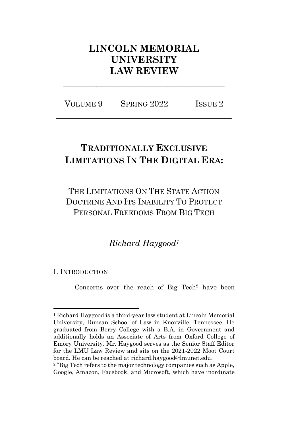# **LINCOLN MEMORIAL UNIVERSITY LAW REVIEW**

VOLUME 9 SPRING 2022 ISSUE 2 **\_\_\_\_\_\_\_\_\_\_\_\_\_\_\_\_\_\_\_\_\_\_\_\_\_\_\_\_\_\_\_\_\_\_\_\_\_**

**\_\_\_\_\_\_\_\_\_\_\_\_\_\_\_\_\_\_\_\_\_\_\_\_\_\_\_\_\_\_\_\_\_\_**

# **TRADITIONALLY EXCLUSIVE LIMITATIONS IN THE DIGITAL ERA:**

THE LIMITATIONS ON THE STATE ACTION DOCTRINE AND ITS INABILITY TO PROTECT PERSONAL FREEDOMS FROM BIG TECH

*Richard Haygood<sup>1</sup>*

# I. INTRODUCTION

Concerns over the reach of Big Tech<sup>2</sup> have been

<sup>1</sup> Richard Haygood is a third-year law student at Lincoln Memorial University, Duncan School of Law in Knoxville, Tennessee. He graduated from Berry College with a B.A. in Government and additionally holds an Associate of Arts from Oxford College of Emory University. Mr. Haygood serves as the Senior Staff Editor for the LMU Law Review and sits on the 2021-2022 Moot Court board. He can be reached at richard.haygood@lmunet.edu.

<sup>&</sup>lt;sup>2</sup> "Big Tech refers to the major technology companies such as Apple, Google, Amazon, Facebook, and Microsoft, which have inordinate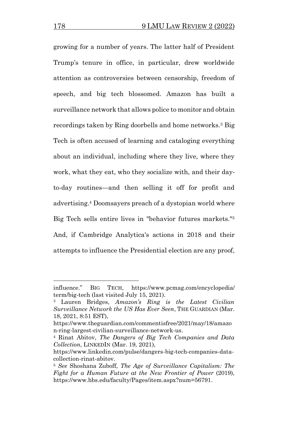growing for a number of years. The latter half of President Trump's tenure in office, in particular, drew worldwide attention as controversies between censorship, freedom of speech, and big tech blossomed. Amazon has built a surveillance network that allows police to monitor and obtain recordings taken by Ring doorbells and home networks.<sup>3</sup> Big Tech is often accused of learning and cataloging everything about an individual, including where they live, where they work, what they eat, who they socialize with, and their dayto-day routines—and then selling it off for profit and advertising.<sup>4</sup> Doomsayers preach of a dystopian world where Big Tech sells entire lives in "behavior futures markets."<sup>5</sup> And, if Cambridge Analytica's actions in 2018 and their attempts to influence the Presidential election are any proof,

influence." BIG TECH, https://www.pcmag.com/encyclopedia/ term/big-tech (last visited July 15, 2021).

<sup>3</sup> Lauren Bridges, *Amazon's Ring is the Latest Civilian Surveillance Network the US Has Ever Seen*, THE GUARDIAN (Mar. 18, 2021, 8:51 EST),

https://www.theguardian.com/commentisfree/2021/may/18/amazo n-ring-largest-civilian-surveillance-network-us.

<sup>4</sup> Rinat Abitov, *The Dangers of Big Tech Companies and Data Collection*, LINKEDIN (Mar. 19, 2021),

https://www.linkedin.com/pulse/dangers-big-tech-companies-datacollection-rinat-abitov.

<sup>5</sup> *See* Shoshana Zuboff, *The Age of Surveillance Capitalism: The Fight for a Human Future at the New Frontier of Power* (2019), https://www.hbs.edu/faculty/Pages/item.aspx?num=56791.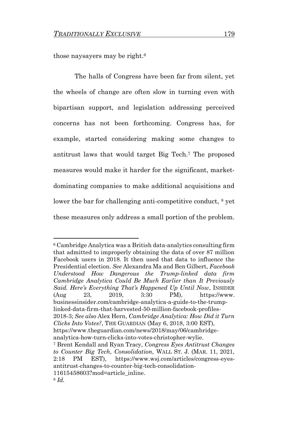those naysayers may be right.<sup>6</sup>

The halls of Congress have been far from silent, yet the wheels of change are often slow in turning even with bipartisan support, and legislation addressing perceived concerns has not been forthcoming. Congress has, for example, started considering making some changes to antitrust laws that would target Big Tech.<sup>7</sup> The proposed measures would make it harder for the significant, marketdominating companies to make additional acquisitions and lower the bar for challenging anti-competitive conduct,  $\frac{8}{3}$  yet these measures only address a small portion of the problem.

<sup>6</sup> Cambridge Analytica was a British data-analytics consulting firm that admitted to improperly obtaining the data of over 87 million Facebook users in 2018. It then used that data to influence the Presidential election. *See* Alexandra Ma and Ben Gilbert*, Facebook Understood How Dangerous the Trump-linked data firm Cambridge Analytica Could Be Much Earlier than It Previously Said. Here's Everything That's Happened Up Until Now*, INSIDER (Aug 23, 2019, 3:30 PM), https://www. businessinsider.com/cambridge-analytica-a-guide-to-the-trumplinked-data-firm-that-harvested-50-million-facebook-profiles-2018-3; *See also* Alex Hern, *Cambridge Analytica: How Did it Turn Clicks Into Votes?*, THE GUARDIAN (May 6, 2018, 3:00 EST), https://www.theguardian.com/news/2018/may/06/cambridgeanalytica-how-turn-clicks-into-votes-christopher-wylie. <sup>7</sup> Brent Kendall and Ryan Tracy, *Congress Eyes Antitrust Changes to Counter Big Tech*, *Consolidation*, WALL ST. J. (MAR. 11, 2021, 2:18 PM EST), https://www.wsj.com/articles/congress-eyesantitrust-changes-to-counter-big-tech-consolidation-11615458603?mod=article\_inline. <sup>8</sup> *Id.*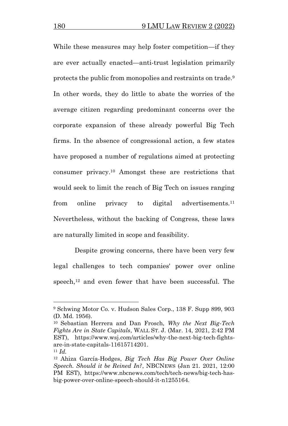While these measures may help foster competition—if they are ever actually enacted—anti-trust legislation primarily protects the public from monopolies and restraints on trade.<sup>9</sup> In other words, they do little to abate the worries of the average citizen regarding predominant concerns over the corporate expansion of these already powerful Big Tech firms. In the absence of congressional action, a few states have proposed a number of regulations aimed at protecting consumer privacy.<sup>10</sup> Amongst these are restrictions that would seek to limit the reach of Big Tech on issues ranging from online privacy to digital advertisements.<sup>11</sup> Nevertheless, without the backing of Congress, these laws are naturally limited in scope and feasibility.

Despite growing concerns, there have been very few legal challenges to tech companies' power over online speech,<sup>12</sup> and even fewer that have been successful. The

<sup>9</sup> Schwing Motor Co. v. Hudson Sales Corp., 138 F. Supp 899, 903 (D. Md. 1956).

<sup>10</sup> Sebastian Herrera and Dan Frosch, *Why the Next Big-Tech Fights Are in State Capitals*, WALL ST. J. (Mar. 14, 2021, 2:42 PM EST), https://www.wsj.com/articles/why-the-next-big-tech-fightsare-in-state-capitals-11615714201.

<sup>11</sup> *Id.*

<sup>12</sup> Ahiza García-Hodges, *Big Tech Has Big Power Over Online Speech. Should it be Reined In?*, NBCNEWS (Jan 21. 2021, 12:00 PM EST), https://www.nbcnews.com/tech/tech-news/big-tech-hasbig-power-over-online-speech-should-it-n1255164.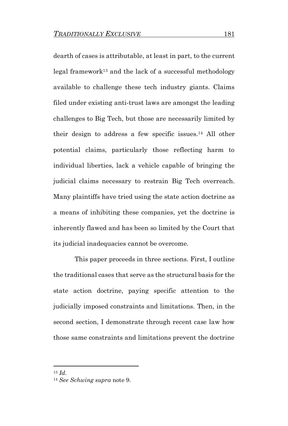dearth of cases is attributable, at least in part, to the current legal framework<sup>13</sup> and the lack of a successful methodology available to challenge these tech industry giants. Claims filed under existing anti-trust laws are amongst the leading challenges to Big Tech, but those are necessarily limited by their design to address a few specific issues.<sup>14</sup> All other potential claims, particularly those reflecting harm to individual liberties, lack a vehicle capable of bringing the judicial claims necessary to restrain Big Tech overreach. Many plaintiffs have tried using the state action doctrine as a means of inhibiting these companies, yet the doctrine is inherently flawed and has been so limited by the Court that its judicial inadequacies cannot be overcome.

This paper proceeds in three sections. First, I outline the traditional cases that serve as the structural basis for the state action doctrine, paying specific attention to the judicially imposed constraints and limitations. Then, in the second section, I demonstrate through recent case law how those same constraints and limitations prevent the doctrine

<sup>13</sup> *Id*.

<sup>14</sup> *See Schwing supra* note 9.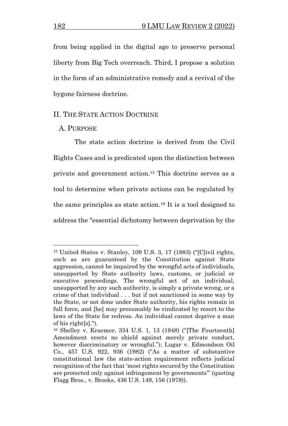from being applied in the digital age to preserve personal liberty from Big Tech overreach. Third, I propose a solution in the form of an administrative remedy and a revival of the bygone fairness doctrine.

#### II. THE STATE ACTION DOCTRINE

### A. PURPOSE

The state action doctrine is derived from the Civil Rights Cases and is predicated upon the distinction between private and government action. <sup>15</sup> This doctrine serves as a tool to determine when private actions can be regulated by the same principles as state action.<sup>16</sup> It is a tool designed to address the "essential dichotomy between deprivation by the

<sup>15</sup> United States v. Stanley, 109 U.S. 3, 17 (1883) ("[C]ivil rights, such as are guaranteed by the Constitution against State aggression, cannot be impaired by the wrongful acts of individuals, unsupported by State authority laws, customs, or judicial or executive proceedings. The wrongful act of an individual, unsupported by any such authority, is simply a private wrong, or a crime of that individual . . . but if not sanctioned in some way by the State, or not done under State authority, his rights remain in full force, and [he] may presumably be vindicated by resort to the laws of the State for redress. An individual cannot deprive a man of his right[s].").

<sup>16</sup> Shelley v. Kraemer, 334 U.S. 1, 13 (1948) ("[The Fourteenth] Amendment erects no shield against merely private conduct, however discriminatory or wrongful."); Lugar v. Edmondson Oil Co., 457 U.S. 922, 936 (1982) ("As a matter of substantive constitutional law the state-action requirement reflects judicial recognition of the fact that 'most rights secured by the Constitution are protected only against infringement by governments'" (quoting Flagg Bros., v. Brooks, 436 U.S. 149, 156 (1978)).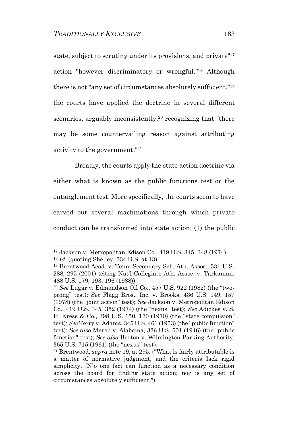state, subject to scrutiny under its provisions, and private<sup>"17</sup> action "however discriminatory or wrongful."<sup>18</sup> Although there is not "any set of circumstances absolutely sufficient,"<sup>19</sup> the courts have applied the doctrine in several different scenarios, arguably inconsistently,<sup>20</sup> recognizing that "there may be some countervailing reason against attributing activity to the government."<sup>21</sup>

Broadly, the courts apply the state action doctrine via either what is known as the public functions test or the entanglement test. More specifically, the courts seem to have carved out several machinations through which private conduct can be transformed into state action: (1) the public

<sup>17</sup> Jackson v. Metropolitan Edison Co., 419 U.S. 345, 348 (1974).

<sup>18</sup> *Id.* (quoting Shelley, 334 U.S. at 13).

<sup>19</sup> Brentwood Acad. v. Tenn. Secondary Sch. Ath. Assoc., 531 U.S. 288, 295 (2001) (citing Nat'l Collegiate Ath. Assoc. v. Tarkanian, 488 U.S. 179, 193, 196 (1988)).

<sup>20</sup> *See* Lugar v. Edmondson Oil Co., 457 U.S. 922 (1982) (the "twoprong" test); *See* Flagg Bros., Inc. v. Brooks, 436 U.S. 149, 157 (1978) (the "joint action" test); *See* Jackson v. Metropolitan Edison Co., 419 U.S. 345, 352 (1974) (the "nexus" test); *See* Adickes v. S. H. Kress & Co., 398 U.S. 150, 170 (1970) (the "state compulsion" test); *See* Terry v. Adams, 345 U.S. 461 (1953) (the "public function" test); *See also* Marsh v. Alabama, 326 U.S. 501 (1946) (the "public function" test); *See also* Burton v. Wilmington Parking Authority, 365 U.S. 715 (1961) (the "nexus" test).

<sup>21</sup> Brentwood, *supra* note 19, at 295. ("What is fairly attributable is a matter of normative judgment, and the criteria lack rigid simplicity. [N]o one fact can function as a necessary condition across the board for finding state action; nor is any set of circumstances absolutely sufficient.")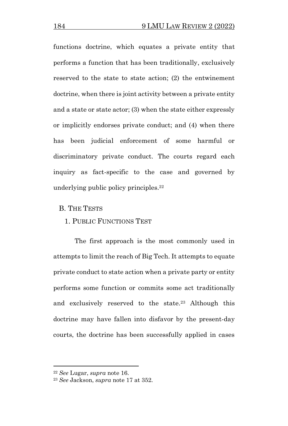functions doctrine, which equates a private entity that performs a function that has been traditionally, exclusively reserved to the state to state action; (2) the entwinement doctrine, when there is joint activity between a private entity and a state or state actor; (3) when the state either expressly or implicitly endorses private conduct; and (4) when there has been judicial enforcement of some harmful or discriminatory private conduct. The courts regard each inquiry as fact-specific to the case and governed by underlying public policy principles. 22

B. THE TESTS

### 1. PUBLIC FUNCTIONS TEST

The first approach is the most commonly used in attempts to limit the reach of Big Tech. It attempts to equate private conduct to state action when a private party or entity performs some function or commits some act traditionally and exclusively reserved to the state.<sup>23</sup> Although this doctrine may have fallen into disfavor by the present-day courts, the doctrine has been successfully applied in cases

<sup>22</sup> *See* Lugar, *supra* note 16.

<sup>23</sup> *See* Jackson, *supra* note 17 at 352.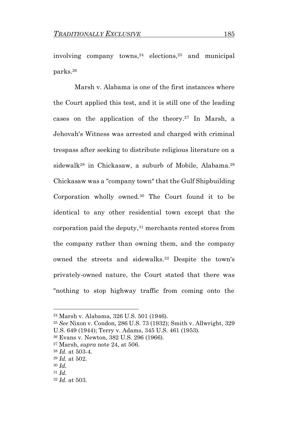involving company towns, <sup>24</sup> elections, <sup>25</sup> and municipal parks. 26

Marsh v. Alabama is one of the first instances where the Court applied this test, and it is still one of the leading cases on the application of the theory. <sup>27</sup> In Marsh, a Jehovah's Witness was arrested and charged with criminal trespass after seeking to distribute religious literature on a sidewalk<sup>28</sup> in Chickasaw, a suburb of Mobile, Alabama.<sup>29</sup> Chickasaw was a "company town" that the Gulf Shipbuilding Corporation wholly owned. <sup>30</sup> The Court found it to be identical to any other residential town except that the corporation paid the deputy, <sup>31</sup> merchants rented stores from the company rather than owning them, and the company owned the streets and sidewalks. <sup>32</sup> Despite the town's privately-owned nature, the Court stated that there was "nothing to stop highway traffic from coming onto the

<sup>24</sup> Marsh v. Alabama, 326 U.S. 501 (1946).

<sup>25</sup> *See* Nixon v. Condon, 286 U.S. 73 (1932); Smith v. Allwright, 329 U.S. 649 (1944); Terry v. Adams, 345 U.S. 461 (1953).

<sup>26</sup> Evans v. Newton, 382 U.S. 296 (1966).

<sup>27</sup> Marsh, *supra* note 24, at 506.

<sup>28</sup> *Id.* at 503-4.

<sup>29</sup> *Id.* at 502.

<sup>30</sup> *Id.*

<sup>31</sup> *Id.* 

<sup>32</sup> *Id.* at 503.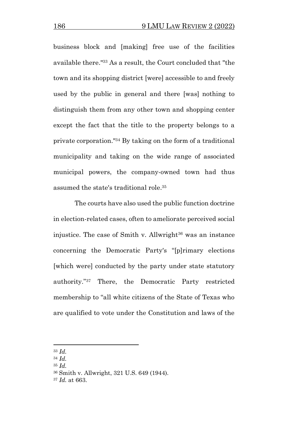business block and [making] free use of the facilities available there."<sup>33</sup> As a result, the Court concluded that "the town and its shopping district [were] accessible to and freely used by the public in general and there [was] nothing to distinguish them from any other town and shopping center except the fact that the title to the property belongs to a private corporation."<sup>34</sup> By taking on the form of a traditional municipality and taking on the wide range of associated municipal powers, the company-owned town had thus assumed the state's traditional role. 35

The courts have also used the public function doctrine in election-related cases, often to ameliorate perceived social injustice. The case of Smith v. Allwright<sup>36</sup> was an instance concerning the Democratic Party's "[p]rimary elections [which were] conducted by the party under state statutory authority."<sup>37</sup> There, the Democratic Party restricted membership to "all white citizens of the State of Texas who are qualified to vote under the Constitution and laws of the

<sup>33</sup> *Id.*

<sup>34</sup> *Id.*

<sup>35</sup> *Id.*

<sup>36</sup> Smith v. Allwright, 321 U.S. 649 (1944).

<sup>37</sup> *Id.* at 663.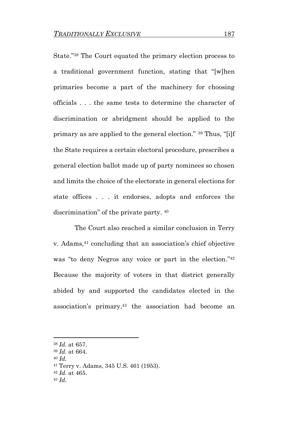State."<sup>38</sup> The Court equated the primary election process to a traditional government function, stating that "[w]hen primaries become a part of the machinery for choosing officials . . . the same tests to determine the character of discrimination or abridgment should be applied to the primary as are applied to the general election." <sup>39</sup> Thus, "[i]f the State requires a certain electoral procedure, prescribes a general election ballot made up of party nominees so chosen and limits the choice of the electorate in general elections for state offices . . . it endorses, adopts and enforces the discrimination" of the private party. <sup>40</sup>

The Court also reached a similar conclusion in Terry v. Adams, <sup>41</sup> concluding that an association's chief objective was "to deny Negros any voice or part in the election."<sup>42</sup> Because the majority of voters in that district generally abided by and supported the candidates elected in the association's primary, <sup>43</sup> the association had become an

<sup>38</sup> *Id.* at 657.

<sup>39</sup> *Id.* at 664.

<sup>40</sup> *Id.*

<sup>41</sup> Terry v. Adams, 345 U.S. 461 (1953).

<sup>42</sup> *Id.* at 465.

<sup>43</sup> *Id.*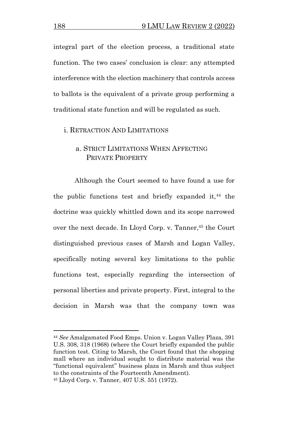integral part of the election process, a traditional state function. The two cases' conclusion is clear: any attempted interference with the election machinery that controls access to ballots is the equivalent of a private group performing a traditional state function and will be regulated as such.

### i. RETRACTION AND LIMITATIONS

# a. STRICT LIMITATIONS WHEN AFFECTING PRIVATE PROPERTY

Although the Court seemed to have found a use for the public functions test and briefly expanded it,  $44$  the doctrine was quickly whittled down and its scope narrowed over the next decade. In Lloyd Corp. v. Tanner, <sup>45</sup> the Court distinguished previous cases of Marsh and Logan Valley, specifically noting several key limitations to the public functions test, especially regarding the intersection of personal liberties and private property. First, integral to the decision in Marsh was that the company town was

<sup>44</sup> *See* Amalgamated Food Emps. Union v. Logan Valley Plaza, 391 U.S. 308, 318 (1968) (where the Court briefly expanded the public function test. Citing to Marsh, the Court found that the shopping mall where an individual sought to distribute material was the "functional equivalent" business plaza in Marsh and thus subject to the constraints of the Fourteenth Amendment). <sup>45</sup> Lloyd Corp. v. Tanner, 407 U.S. 551 (1972).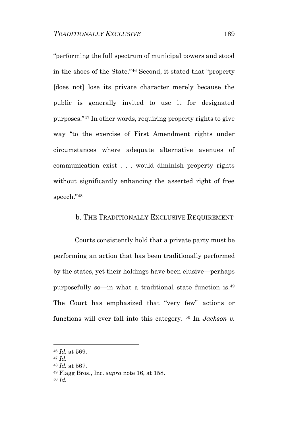"performing the full spectrum of municipal powers and stood in the shoes of the State."<sup>46</sup> Second, it stated that "property [does not] lose its private character merely because the public is generally invited to use it for designated purposes."<sup>47</sup> In other words, requiring property rights to give way "to the exercise of First Amendment rights under circumstances where adequate alternative avenues of communication exist . . . would diminish property rights without significantly enhancing the asserted right of free speech."<sup>48</sup>

### b. THE TRADITIONALLY EXCLUSIVE REQUIREMENT

Courts consistently hold that a private party must be performing an action that has been traditionally performed by the states, yet their holdings have been elusive—perhaps purposefully so—in what a traditional state function is.<sup>49</sup> The Court has emphasized that "very few" actions or functions will ever fall into this category. <sup>50</sup> In *Jackson v.* 

<sup>46</sup> *Id.* at 569.

<sup>47</sup> *Id.*

<sup>48</sup> *Id.* at 567.

<sup>49</sup> Flagg Bros., Inc. *supra* note 16, at 158.

<sup>50</sup> *Id.*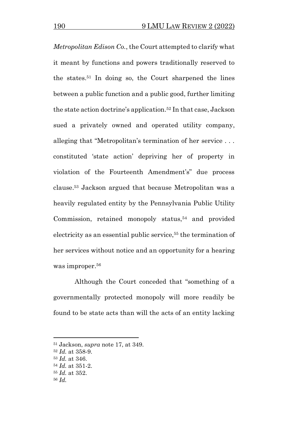*Metropolitan Edison Co.*, the Court attempted to clarify what it meant by functions and powers traditionally reserved to the states. <sup>51</sup> In doing so, the Court sharpened the lines between a public function and a public good, further limiting the state action doctrine's application. <sup>52</sup> In that case, Jackson sued a privately owned and operated utility company, alleging that "Metropolitan's termination of her service . . . constituted 'state action' depriving her of property in violation of the Fourteenth Amendment's" due process clause. <sup>53</sup> Jackson argued that because Metropolitan was a heavily regulated entity by the Pennsylvania Public Utility Commission, retained monopoly status, <sup>54</sup> and provided electricity as an essential public service,<sup>55</sup> the termination of her services without notice and an opportunity for a hearing was improper.<sup>56</sup>

Although the Court conceded that "something of a governmentally protected monopoly will more readily be found to be state acts than will the acts of an entity lacking

<sup>51</sup> Jackson, *supra* note 17, at 349.

<sup>52</sup> *Id.* at 358-9.

<sup>53</sup> *Id.* at 346.

<sup>54</sup> *Id.* at 351-2.

<sup>55</sup> *Id.* at 352.

<sup>56</sup> *Id.*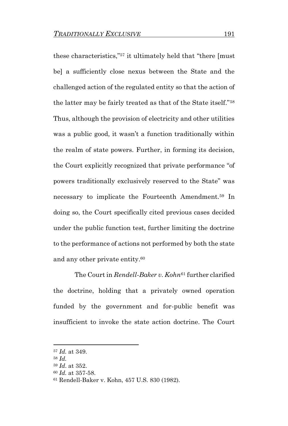these characteristics,"<sup>57</sup> it ultimately held that "there [must be] a sufficiently close nexus between the State and the challenged action of the regulated entity so that the action of the latter may be fairly treated as that of the State itself."<sup>58</sup> Thus, although the provision of electricity and other utilities was a public good, it wasn't a function traditionally within the realm of state powers. Further, in forming its decision, the Court explicitly recognized that private performance "of powers traditionally exclusively reserved to the State" was necessary to implicate the Fourteenth Amendment.<sup>59</sup> In doing so, the Court specifically cited previous cases decided under the public function test, further limiting the doctrine to the performance of actions not performed by both the state and any other private entity.<sup>60</sup>

The Court in *Rendell-Baker v. Kohn*<sup>61</sup> further clarified the doctrine, holding that a privately owned operation funded by the government and for-public benefit was insufficient to invoke the state action doctrine. The Court

<sup>57</sup> *Id.* at 349.

<sup>58</sup> *Id.*

<sup>59</sup> *Id*. at 352.

<sup>60</sup> *Id.* at 357-58.

<sup>61</sup> Rendell-Baker v. Kohn, 457 U.S. 830 (1982).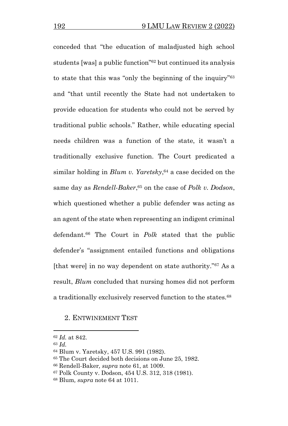conceded that "the education of maladjusted high school students [was] a public function"<sup>62</sup> but continued its analysis to state that this was "only the beginning of the inquiry"<sup>63</sup> and "that until recently the State had not undertaken to provide education for students who could not be served by traditional public schools." Rather, while educating special needs children was a function of the state, it wasn't a traditionally exclusive function. The Court predicated a similar holding in *Blum v. Yaretsky*, <sup>64</sup> a case decided on the same day as *Rendell-Baker*, <sup>65</sup> on the case of *Polk v. Dodson*, which questioned whether a public defender was acting as an agent of the state when representing an indigent criminal defendant.<sup>66</sup> The Court in *Polk* stated that the public defender's "assignment entailed functions and obligations [that were] in no way dependent on state authority."<sup>67</sup> As a result, *Blum* concluded that nursing homes did not perform a traditionally exclusively reserved function to the states.<sup>68</sup>

### 2. ENTWINEMENT TEST

<sup>62</sup> *Id.* at 842.

<sup>63</sup> *Id.*

<sup>64</sup> Blum v. Yaretsky, 457 U.S. 991 (1982).

<sup>65</sup> The Court decided both decisions on June 25, 1982.

<sup>66</sup> Rendell-Baker*, supra* note 61, at 1009.

<sup>67</sup> Polk County v. Dodson, 454 U.S. 312, 318 (1981).

<sup>68</sup> Blum*, supra* note 64 at 1011.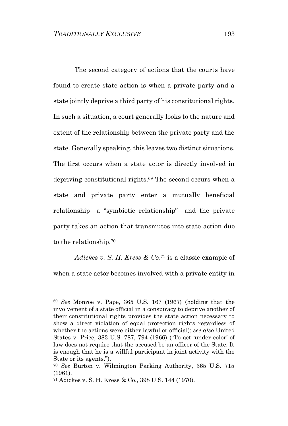The second category of actions that the courts have found to create state action is when a private party and a state jointly deprive a third party of his constitutional rights. In such a situation, a court generally looks to the nature and extent of the relationship between the private party and the state. Generally speaking, this leaves two distinct situations. The first occurs when a state actor is directly involved in depriving constitutional rights. <sup>69</sup> The second occurs when a state and private party enter a mutually beneficial relationship—a "symbiotic relationship"—and the private party takes an action that transmutes into state action due to the relationship.<sup>70</sup>

*Adickes v. S. H. Kress & Co*. <sup>71</sup> is a classic example of when a state actor becomes involved with a private entity in

<sup>69</sup> *See* Monroe v. Pape, 365 U.S. 167 (1967) (holding that the involvement of a state official in a conspiracy to deprive another of their constitutional rights provides the state action necessary to show a direct violation of equal protection rights regardless of whether the actions were either lawful or official); *see also* United States v. Price, 383 U.S. 787, 794 (1966) ("To act 'under color' of law does not require that the accused be an officer of the State. It is enough that he is a willful participant in joint activity with the State or its agents.").

<sup>70</sup> *See* Burton v. Wilmington Parking Authority, 365 U.S. 715 (1961).

<sup>71</sup> Adickes v. S. H. Kress & Co., 398 U.S. 144 (1970).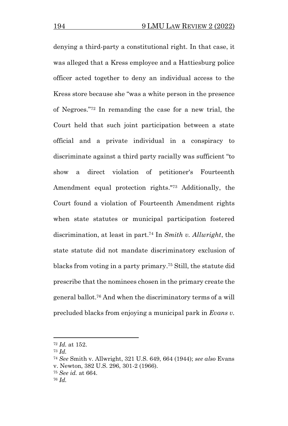denying a third-party a constitutional right. In that case, it was alleged that a Kress employee and a Hattiesburg police officer acted together to deny an individual access to the Kress store because she "was a white person in the presence of Negroes."<sup>72</sup> In remanding the case for a new trial, the Court held that such joint participation between a state official and a private individual in a conspiracy to discriminate against a third party racially was sufficient "to show a direct violation of petitioner's Fourteenth Amendment equal protection rights." <sup>73</sup> Additionally, the Court found a violation of Fourteenth Amendment rights when state statutes or municipal participation fostered discrimination, at least in part. <sup>74</sup> In *Smith v. Allwright*, the state statute did not mandate discriminatory exclusion of blacks from voting in a party primary. <sup>75</sup> Still, the statute did prescribe that the nominees chosen in the primary create the general ballot.<sup>76</sup> And when the discriminatory terms of a will precluded blacks from enjoying a municipal park in *Evans v.* 

<sup>72</sup> *Id.* at 152.

<sup>73</sup> *Id.*

<sup>74</sup> *See* Smith v. Allwright, 321 U.S. 649, 664 (1944); *see also* Evans v. Newton, 382 U.S. 296, 301-2 (1966).

<sup>75</sup> *See id.* at 664.

<sup>76</sup> *Id.*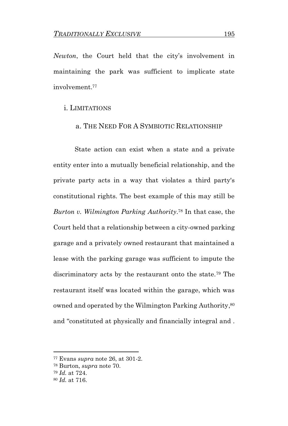*Newton*, the Court held that the city's involvement in maintaining the park was sufficient to implicate state involvement.<sup>77</sup>

### i. LIMITATIONS

### a. THE NEED FOR A SYMBIOTIC RELATIONSHIP

State action can exist when a state and a private entity enter into a mutually beneficial relationship, and the private party acts in a way that violates a third party's constitutional rights. The best example of this may still be *Burton v. Wilmington Parking Authority*. <sup>78</sup> In that case, the Court held that a relationship between a city-owned parking garage and a privately owned restaurant that maintained a lease with the parking garage was sufficient to impute the discriminatory acts by the restaurant onto the state.<sup>79</sup> The restaurant itself was located within the garage, which was owned and operated by the Wilmington Parking Authority, 80 and "constituted at physically and financially integral and .

<sup>77</sup> Evans *supra* note 26, at 301-2.

<sup>78</sup> Burton, *supra* note 70.

<sup>79</sup> *Id.* at 724.

<sup>80</sup> *Id.* at 716.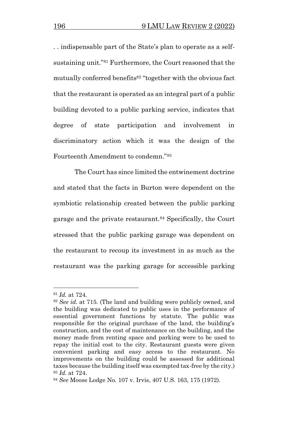. . indispensable part of the State's plan to operate as a selfsustaining unit."<sup>81</sup> Furthermore, the Court reasoned that the mutually conferred benefits<sup>82</sup> "together with the obvious fact that the restaurant is operated as an integral part of a public building devoted to a public parking service, indicates that degree of state participation and involvement in discriminatory action which it was the design of the Fourteenth Amendment to condemn."<sup>83</sup>

The Court has since limited the entwinement doctrine and stated that the facts in Burton were dependent on the symbiotic relationship created between the public parking garage and the private restaurant.<sup>84</sup> Specifically, the Court stressed that the public parking garage was dependent on the restaurant to recoup its investment in as much as the restaurant was the parking garage for accessible parking

<sup>81</sup> *Id.* at 724.

<sup>82</sup> *See id.* at 715. (The land and building were publicly owned, and the building was dedicated to public uses in the performance of essential government functions by statute. The public was responsible for the original purchase of the land, the building's construction, and the cost of maintenance on the building, and the money made from renting space and parking were to be used to repay the initial cost to the city. Restaurant guests were given convenient parking and easy access to the restaurant. No improvements on the building could be assessed for additional taxes because the building itself was exempted tax-freeby the city.) <sup>83</sup> *Id.* at 724.

<sup>84</sup> *See* Moose Lodge No. 107 v. Irvis, 407 U.S. 163, 175 (1972).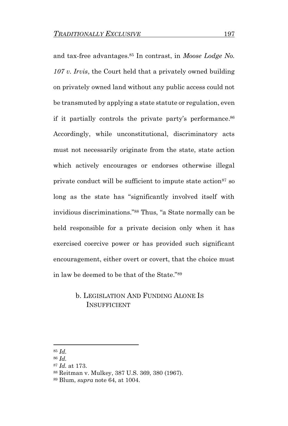and tax-free advantages.<sup>85</sup> In contrast, in *Moose Lodge No. 107 v. Irvis*, the Court held that a privately owned building on privately owned land without any public access could not be transmuted by applying a state statute or regulation, even if it partially controls the private party's performance. 86 Accordingly, while unconstitutional, discriminatory acts must not necessarily originate from the state, state action which actively encourages or endorses otherwise illegal private conduct will be sufficient to impute state action<sup>87</sup> so long as the state has "significantly involved itself with invidious discriminations."<sup>88</sup> Thus, "a State normally can be held responsible for a private decision only when it has exercised coercive power or has provided such significant encouragement, either overt or covert, that the choice must in law be deemed to be that of the State."<sup>89</sup>

# b. LEGISLATION AND FUNDING ALONE IS INSUFFICIENT

<sup>85</sup> *Id.*

<sup>86</sup> *Id.* 

<sup>87</sup> *Id.* at 173.

<sup>88</sup> Reitman v. Mulkey, 387 U.S. 369, 380 (1967).

<sup>89</sup> Blum, *supra* note 64, at 1004.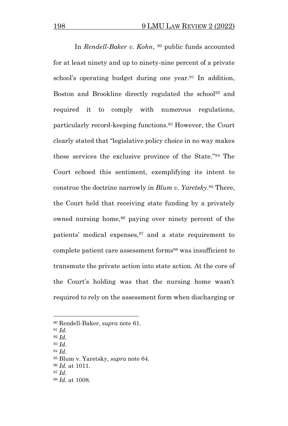In *Rendell-Baker v. Kohn*, <sup>90</sup> public funds accounted for at least ninety and up to ninety-nine percent of a private school's operating budget during one year.<sup>91</sup> In addition, Boston and Brookline directly regulated the school<sup>92</sup> and required it to comply with numerous regulations, particularly record-keeping functions. <sup>93</sup> However, the Court clearly stated that "legislative policy choice in no way makes these services the exclusive province of the State."<sup>94</sup> The Court echoed this sentiment, exemplifying its intent to construe the doctrine narrowly in *Blum v. Yaretsky*. <sup>95</sup> There, the Court held that receiving state funding by a privately owned nursing home,<sup>96</sup> paying over ninety percent of the patients' medical expenses,  $97$  and a state requirement to complete patient care assessment forms<sup>98</sup> was insufficient to transmute the private action into state action. At the core of the Court's holding was that the nursing home wasn't required to rely on the assessment form when discharging or

<sup>94</sup> *Id.*

<sup>90</sup> Rendell-Baker, *supra* note 61.

<sup>91</sup> *Id.*

<sup>92</sup> *Id.*

<sup>93</sup> *Id.*

<sup>95</sup> Blum v. Yaretsky, *supra* note 64.

<sup>96</sup> *Id.* at 1011.

<sup>97</sup> *Id*.

<sup>98</sup> *Id.* at 1008.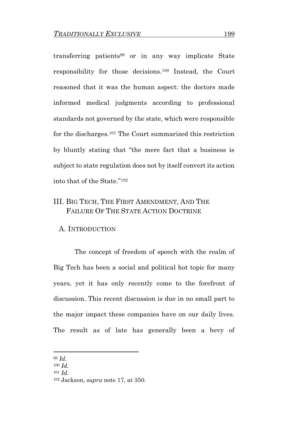transferring patients<sup>99</sup> or in any way implicate State responsibility for those decisions.<sup>100</sup> Instead, the Court reasoned that it was the human aspect: the doctors made informed medical judgments according to professional standards not governed by the state, which were responsible for the discharges.<sup>101</sup> The Court summarized this restriction by bluntly stating that "the mere fact that a business is subject to state regulation does not by itself convert its action into that of the State."<sup>102</sup>

# III. BIG TECH, THE FIRST AMENDMENT, AND THE FAILURE OF THE STATE ACTION DOCTRINE

### A. INTRODUCTION

The concept of freedom of speech with the realm of Big Tech has been a social and political hot topic for many years, yet it has only recently come to the forefront of discussion. This recent discussion is due in no small part to the major impact these companies have on our daily lives. The result as of late has generally been a bevy of

<sup>99</sup> *Id.*

<sup>100</sup> *Id.*

<sup>101</sup> *Id.*

<sup>102</sup> Jackson, *supra* note 17, at 350.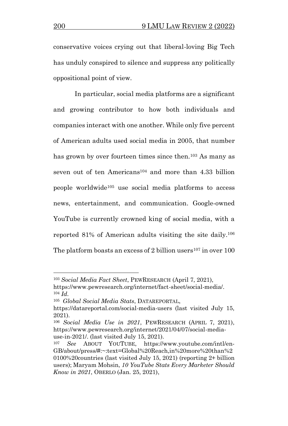conservative voices crying out that liberal-loving Big Tech has unduly conspired to silence and suppress any politically oppositional point of view.

In particular, social media platforms are a significant and growing contributor to how both individuals and companies interact with one another. While only five percent of American adults used social media in 2005, that number has grown by over fourteen times since then.<sup>103</sup> As many as seven out of ten Americans<sup>104</sup> and more than 4.33 billion people worldwide<sup>105</sup> use social media platforms to access news, entertainment, and communication. Google-owned YouTube is currently crowned king of social media, with a reported 81% of American adults visiting the site daily.<sup>106</sup> The platform boasts an excess of 2 billion users<sup>107</sup> in over  $100$ 

<sup>103</sup> *Social Media Fact Sheet*, PEWRESEARCH (April 7, 2021),

https://www.pewresearch.org/internet/fact-sheet/social-media/. <sup>104</sup> *Id*.

<sup>105</sup> *Global Social Media Stats*, DATAREPORTAL,

https://datareportal.com/social-media-users (last visited July 15, 2021).

<sup>106</sup> *Social Media Use in 2021*, PEWRESEARCH (APRIL 7, 2021), https://www.pewresearch.org/internet/2021/04/07/social-mediause-in-2021/. (last visited July 15, 2021).

<sup>107</sup> *See* ABOUT YOUTUBE, https://www.youtube.com/intl/en-GB/about/press/#:~:text=Global%20Reach,in%20more%20than%2 0100%20countries (last visited July 15, 2021) (reporting 2+ billion users); Maryam Mohsin, *10 YouTube Stats Every Marketer Should Know in 2021*, OBERLO (Jan. 25, 2021),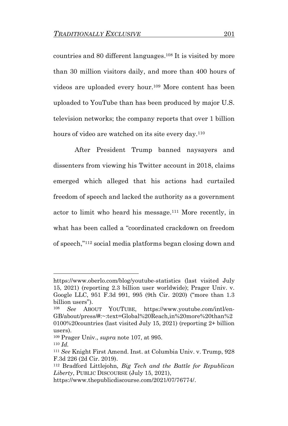countries and 80 different languages. <sup>108</sup> It is visited by more than 30 million visitors daily, and more than 400 hours of videos are uploaded every hour.<sup>109</sup> More content has been uploaded to YouTube than has been produced by major U.S. television networks; the company reports that over 1 billion hours of video are watched on its site every day.<sup>110</sup>

After President Trump banned naysayers and dissenters from viewing his Twitter account in 2018, claims emerged which alleged that his actions had curtailed freedom of speech and lacked the authority as a government actor to limit who heard his message.<sup>111</sup> More recently, in what has been called a "coordinated crackdown on freedom of speech," <sup>112</sup> social media platforms began closing down and

https://www.oberlo.com/blog/youtube-statistics (last visited July 15, 2021) (reporting 2.3 billion user worldwide); Prager Univ. v. Google LLC, 951 F.3d 991, 995 (9th Cir. 2020) ("more than 1.3 billion users").

<sup>108</sup> *See* ABOUT YOUTUBE, https://www.youtube.com/intl/en-GB/about/press/#:~:text=Global%20Reach,in%20more%20than%2 0100%20countries (last visited July 15, 2021) (reporting 2+ billion users).

<sup>109</sup> Prager Univ., *supra* note 107, at 995.

<sup>110</sup> *Id.*

<sup>111</sup> *See* Knight First Amend. Inst. at Columbia Univ. v. Trump, 928 F.3d 226 (2d Cir. 2019).

<sup>112</sup> Bradford Littlejohn, *Big Tech and the Battle for Republican Liberty*, PUBLIC DISCOURSE (July 15, 2021),

https://www.thepublicdiscourse.com/2021/07/76774/.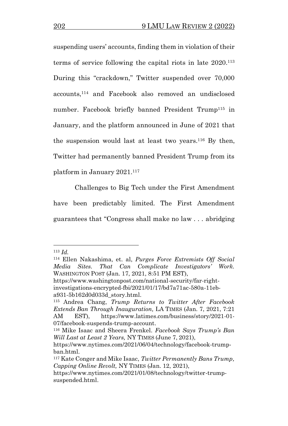suspending users' accounts, finding them in violation of their terms of service following the capital riots in late 2020.<sup>113</sup> During this "crackdown," Twitter suspended over 70,000 accounts,<sup>114</sup> and Facebook also removed an undisclosed number. Facebook briefly banned President Trump<sup>115</sup> in January, and the platform announced in June of 2021 that the suspension would last at least two years.<sup>116</sup> By then, Twitter had permanently banned President Trump from its platform in January 2021.<sup>117</sup>

Challenges to Big Tech under the First Amendment have been predictably limited. The First Amendment guarantees that "Congress shall make no law . . . abridging

<sup>113</sup> *Id.*

<sup>114</sup> Ellen Nakashima, et. al, *Purges Force Extremists Off Social Media Sites. That Can Complicate Investigators' Work.* WASHINGTON POST (Jan. 17, 2021, 8:51 PM EST), https://www.washingtonpost.com/national-security/far-right-

investigations-encrypted-fbi/2021/01/17/bd7a71ac-580a-11eba931-5b162d0d033d\_story.html.

<sup>115</sup> Andrea Chang, *Trump Returns to Twitter After Facebook Extends Ban Through Inauguration,* LA TIMES (Jan. 7, 2021, 7:21 AM EST), https://www.latimes.com/business/story/2021-01- 07/facebook-suspends-trump-account.

<sup>116</sup> Mike Isaac and Sheera Frenkel. *Facebook Says Trump's Ban Will Last at Least 2 Years,* NY TIMES (June 7, 2021),

https://www.nytimes.com/2021/06/04/technology/facebook-trumpban.html.

<sup>117</sup> Kate Conger and Mike Isaac, *Twitter Permanently Bans Trump, Capping Online Revolt,* NY TIMES (Jan. 12, 2021),

https://www.nytimes.com/2021/01/08/technology/twitter-trumpsuspended.html.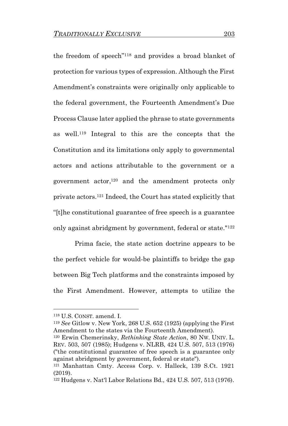the freedom of speech"<sup>118</sup> and provides a broad blanket of protection for various types of expression. Although the First Amendment's constraints were originally only applicable to the federal government, the Fourteenth Amendment's Due Process Clause later applied the phrase to state governments as well. <sup>119</sup> Integral to this are the concepts that the Constitution and its limitations only apply to governmental actors and actions attributable to the government or a government actor, <sup>120</sup> and the amendment protects only private actors.<sup>121</sup> Indeed, the Court has stated explicitly that "[t]he constitutional guarantee of free speech is a guarantee only against abridgment by government, federal or state."<sup>122</sup>

Prima facie, the state action doctrine appears to be the perfect vehicle for would-be plaintiffs to bridge the gap between Big Tech platforms and the constraints imposed by the First Amendment. However, attempts to utilize the

<sup>118</sup> U.S. CONST. amend. I.

<sup>119</sup> *See* Gitlow v. New York, 268 U.S. 652 (1925) (applying the First Amendment to the states via the Fourteenth Amendment).

<sup>120</sup> Erwin Chemerinsky, *Rethinking State Action*, 80 NW. UNIV. L. REV. 503, 507 (1985); Hudgens v. NLRB, 424 U.S. 507, 513 (1976) ("the constitutional guarantee of free speech is a guarantee only against abridgment by government, federal or state").

<sup>121</sup> Manhattan Cmty. Access Corp. v. Halleck, 139 S.Ct. 1921 (2019).

<sup>122</sup> Hudgens v. Nat'l Labor Relations Bd., 424 U.S. 507, 513 (1976).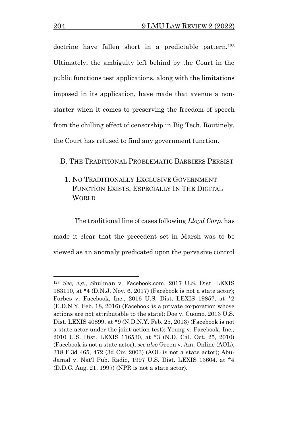doctrine have fallen short in a predictable pattern.<sup>123</sup> Ultimately, the ambiguity left behind by the Court in the public functions test applications, along with the limitations imposed in its application, have made that avenue a nonstarter when it comes to preserving the freedom of speech from the chilling effect of censorship in Big Tech. Routinely, the Court has refused to find any government function.

### B. THE TRADITIONAL PROBLEMATIC BARRIERS PERSIST

1. NO TRADITIONALLY EXCLUSIVE GOVERNMENT FUNCTION EXISTS, ESPECIALLY IN THE DIGITAL WORLD

The traditional line of cases following *Lloyd Corp*. has made it clear that the precedent set in Marsh was to be viewed as an anomaly predicated upon the pervasive control

<sup>123</sup> *See, e.g.,* Shulman v. Facebook.com, 2017 U.S. Dist. LEXIS 183110, at \*4 (D.N.J. Nov. 6, 2017) (Facebook is not a state actor); Forbes v. Facebook, Inc., 2016 U.S. Dist. LEXIS 19857, at \*2 (E.D.N.Y. Feb. 18, 2016) (Facebook is a private corporation whose actions are not attributable to the state); Doe v. Cuomo, 2013 U.S. Dist. LEXIS 40899, at \*9 (N.D.N.Y. Feb. 25, 2013) (Facebook is not a state actor under the joint action test); Young v. Facebook, Inc., 2010 U.S. Dist. LEXIS 116530, at \*3 (N.D. Cal. Oct. 25, 2010) (Facebook is not a state actor); *see also* Green v. Am. Online (AOL), 318 F.3d 465, 472 (3d Cir. 2003) (AOL is not a state actor); Abu-Jamal v. Nat'l Pub. Radio, 1997 U.S. Dist. LEXIS 13604, at \*4 (D.D.C. Aug. 21, 1997) (NPR is not a state actor).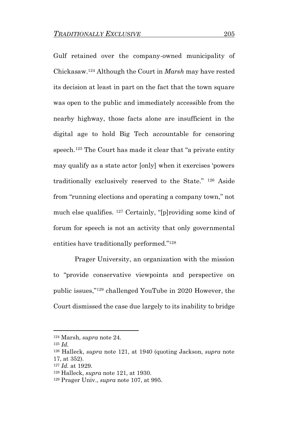Gulf retained over the company-owned municipality of Chickasaw.<sup>124</sup> Although the Court in *Marsh* may have rested its decision at least in part on the fact that the town square was open to the public and immediately accessible from the nearby highway, those facts alone are insufficient in the digital age to hold Big Tech accountable for censoring speech.<sup>125</sup> The Court has made it clear that "a private entity" may qualify as a state actor [only] when it exercises 'powers traditionally exclusively reserved to the State." <sup>126</sup> Aside from "running elections and operating a company town," not much else qualifies. <sup>127</sup> Certainly, "[p]roviding some kind of forum for speech is not an activity that only governmental entities have traditionally performed."<sup>128</sup>

Prager University, an organization with the mission to "provide conservative viewpoints and perspective on public issues," <sup>129</sup> challenged YouTube in 2020 However, the Court dismissed the case due largely to its inability to bridge

<sup>124</sup> Marsh, *supra* note 24.

<sup>125</sup> *Id.*

<sup>126</sup> Halleck, *supra* note 121, at 1940 (quoting Jackson, *supra* note 17, at 352).

<sup>127</sup> *Id.* at 1929.

<sup>128</sup> Halleck, *supra* note 121, at 1930.

<sup>129</sup> Prager Univ., *supra* note 107, at 995.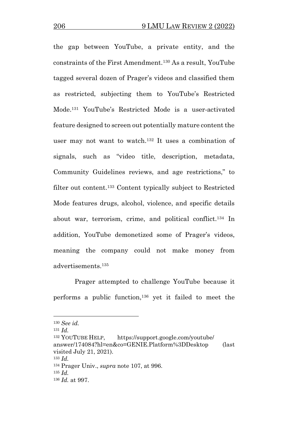the gap between YouTube, a private entity, and the constraints of the First Amendment.<sup>130</sup> As a result, YouTube tagged several dozen of Prager's videos and classified them as restricted, subjecting them to YouTube's Restricted Mode.<sup>131</sup> YouTube's Restricted Mode is a user-activated feature designed to screen out potentially mature content the user may not want to watch.<sup>132</sup> It uses a combination of signals, such as "video title, description, metadata, Community Guidelines reviews, and age restrictions," to filter out content.<sup>133</sup> Content typically subject to Restricted Mode features drugs, alcohol, violence, and specific details about war, terrorism, crime, and political conflict.<sup>134</sup> In addition, YouTube demonetized some of Prager's videos, meaning the company could not make money from advertisements.<sup>135</sup>

Prager attempted to challenge YouTube because it performs a public function,<sup>136</sup> yet it failed to meet the

<sup>132</sup> YOUTUBE HELP, https://support.google.com/youtube/ answer/174084?hl=en&co=GENIE.Platform%3DDesktop (last visited July 21, 2021).

<sup>130</sup> *See id.* 

<sup>131</sup> *Id.*

<sup>133</sup> *Id.* 

<sup>134</sup> Prager Univ., *supra* note 107, at 996.

<sup>135</sup> *Id.*

<sup>136</sup> *Id.* at 997.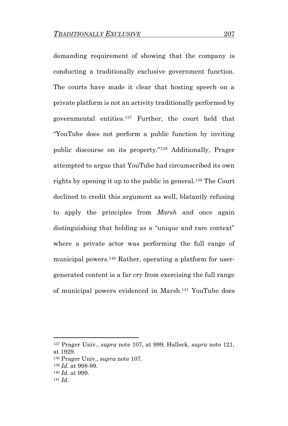demanding requirement of showing that the company is conducting a traditionally exclusive government function. The courts have made it clear that hosting speech on a private platform is not an activity traditionally performed by governmental entities. <sup>137</sup> Further, the court held that "YouTube does not perform a public function by inviting public discourse on its property."<sup>138</sup> Additionally, Prager attempted to argue that YouTube had circumscribed its own rights by opening it up to the public in general.<sup>139</sup> The Court declined to credit this argument as well, blatantly refusing to apply the principles from *Marsh* and once again distinguishing that holding as a "unique and rare context" where a private actor was performing the full range of municipal powers.<sup>140</sup> Rather, operating a platform for usergenerated content is a far cry from exercising the full range of municipal powers evidenced in Marsh. <sup>141</sup> YouTube does

<sup>137</sup> Prager Univ., *supra* note 107, at 999; Halleck, *supra* note 121, at 1929.

<sup>138</sup> Prager Univ., *supra* note 107.

<sup>139</sup> *Id.* at 998-99.

<sup>140</sup> *Id.* at 999.

<sup>141</sup> *Id.*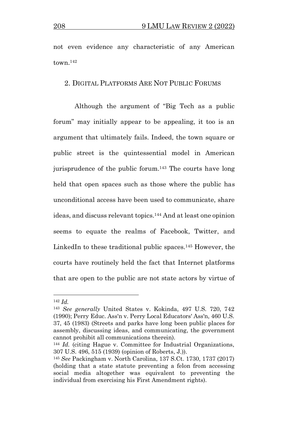not even evidence any characteristic of any American town.<sup>142</sup>

## 2. DIGITAL PLATFORMS ARE NOT PUBLIC FORUMS

Although the argument of "Big Tech as a public forum" may initially appear to be appealing, it too is an argument that ultimately fails. Indeed, the town square or public street is the quintessential model in American jurisprudence of the public forum.<sup>143</sup> The courts have long held that open spaces such as those where the public has unconditional access have been used to communicate, share ideas, and discuss relevant topics.<sup>144</sup> And at least one opinion seems to equate the realms of Facebook, Twitter, and LinkedIn to these traditional public spaces.<sup>145</sup> However, the courts have routinely held the fact that Internet platforms that are open to the public are not state actors by virtue of

<sup>142</sup> *Id.*

<sup>143</sup> *See generally* United States v. Kokinda, 497 U.S. 720, 742 (1990); Perry Educ. Ass'n v. Perry Local Educators' Ass'n, 460 U.S. 37, 45 (1983) (Streets and parks have long been public places for assembly, discussing ideas, and communicating, the government cannot prohibit all communications therein).

<sup>144</sup> *Id.* (citing Hague v. Committee for Industrial Organizations, 307 U.S. 496, 515 (1939) (opinion of Roberts, J.)).

<sup>145</sup> *See* Packingham v. North Carolina, 137 S.Ct. 1730, 1737 (2017) (holding that a state statute preventing a felon from accessing social media altogether was equivalent to preventing the individual from exercising his First Amendment rights).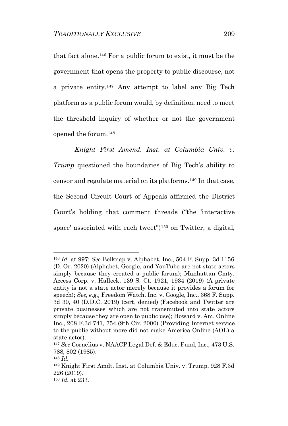that fact alone.<sup>146</sup> For a public forum to exist, it must be the government that opens the property to public discourse, not a private entity. <sup>147</sup> Any attempt to label any Big Tech platform as a public forum would, by definition, need to meet the threshold inquiry of whether or not the government opened the forum. 148

*Knight First Amend. Inst. at Columbia Univ. v. Trump* questioned the boundaries of Big Tech's ability to censor and regulate material on its platforms.<sup>149</sup> In that case, the Second Circuit Court of Appeals affirmed the District Court's holding that comment threads ("the 'interactive space' associated with each tweet")<sup>150</sup> on Twitter, a digital,

<sup>146</sup> *Id.* at 997; *See* Belknap v. Alphabet, Inc., 504 F. Supp. 3d 1156 (D. Or. 2020) (Alphabet, Google, and YouTube are not state actors simply because they created a public forum); Manhattan Cmty. Access Corp. v. Halleck, 139 S. Ct. 1921, 1934 (2019) (A private entity is not a state actor merely because it provides a forum for speech); *See, e.g.,* Freedom Watch, Inc. v. Google, Inc., 368 F. Supp. 3d 30, 40 (D.D.C. 2019) (cert. denied) (Facebook and Twitter are private businesses which are not transmuted into state actors simply because they are open to public use); Howard v. Am. Online Inc., 208 F.3d 741, 754 (9th Cir. 2000) (Providing Internet service to the public without more did not make America Online (AOL) a state actor).

<sup>147</sup> *See* Cornelius v. NAACP Legal Def. & Educ. Fund, Inc., 473 U.S. 788, 802 (1985).

<sup>148</sup> *Id.*

<sup>149</sup> Knight First Amdt. Inst. at Columbia Univ. v. Trump, 928 F.3d 226 (2019).

<sup>150</sup> *Id.* at 233.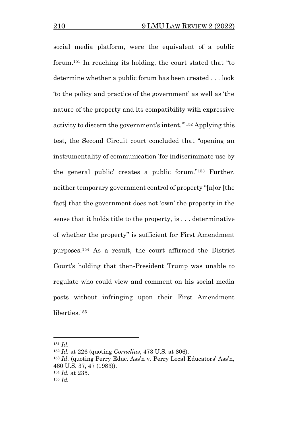social media platform, were the equivalent of a public forum.<sup>151</sup> In reaching its holding, the court stated that "to determine whether a public forum has been created . . . look 'to the policy and practice of the government' as well as 'the nature of the property and its compatibility with expressive activity to discern the government's intent.'"<sup>152</sup> Applying this test, the Second Circuit court concluded that "opening an instrumentality of communication 'for indiscriminate use by the general public' creates a public forum."<sup>153</sup> Further, neither temporary government control of property "[n]or [the fact] that the government does not 'own' the property in the sense that it holds title to the property, is . . . determinative of whether the property" is sufficient for First Amendment purposes.<sup>154</sup> As a result, the court affirmed the District Court's holding that then-President Trump was unable to regulate who could view and comment on his social media posts without infringing upon their First Amendment liberties.<sup>155</sup>

<sup>151</sup> *Id.*

<sup>152</sup> *Id.* at 226 (quoting *Cornelius*, 473 U.S. at 806).

<sup>153</sup> *Id*. (quoting Perry Educ. Ass'n v. Perry Local Educators' Ass'n, 460 U.S. 37, 47 (1983)). <sup>154</sup> *Id.* at 235.

<sup>155</sup> *Id.*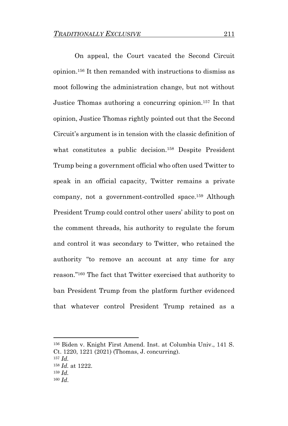On appeal, the Court vacated the Second Circuit opinion. <sup>156</sup> It then remanded with instructions to dismiss as moot following the administration change, but not without Justice Thomas authoring a concurring opinion.<sup>157</sup> In that opinion, Justice Thomas rightly pointed out that the Second Circuit's argument is in tension with the classic definition of what constitutes a public decision.<sup>158</sup> Despite President Trump being a government official who often used Twitter to speak in an official capacity, Twitter remains a private company, not a government-controlled space.<sup>159</sup> Although President Trump could control other users' ability to post on the comment threads, his authority to regulate the forum and control it was secondary to Twitter, who retained the authority "to remove an account at any time for any reason." <sup>160</sup> The fact that Twitter exercised that authority to ban President Trump from the platform further evidenced that whatever control President Trump retained as a

<sup>156</sup> Biden v. Knight First Amend. Inst. at Columbia Univ., 141 S. Ct. 1220, 1221 (2021) (Thomas, J. concurring).

<sup>157</sup> *Id.*

<sup>158</sup> *Id.* at 1222.

<sup>159</sup> *Id.*

<sup>160</sup> *Id*.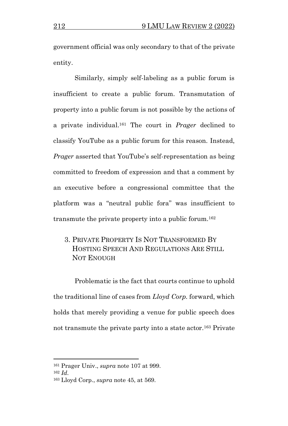government official was only secondary to that of the private entity.

Similarly, simply self-labeling as a public forum is insufficient to create a public forum. Transmutation of property into a public forum is not possible by the actions of a private individual.<sup>161</sup> The court in *Prager* declined to classify YouTube as a public forum for this reason. Instead, *Prager* asserted that YouTube's self-representation as being committed to freedom of expression and that a comment by an executive before a congressional committee that the platform was a "neutral public fora" was insufficient to transmute the private property into a public forum.<sup>162</sup>

3. PRIVATE PROPERTY IS NOT TRANSFORMED BY HOSTING SPEECH AND REGULATIONS ARE STILL NOT ENOUGH

Problematic is the fact that courts continue to uphold the traditional line of cases from *Lloyd Corp.* forward, which holds that merely providing a venue for public speech does not transmute the private party into a state actor.<sup>163</sup> Private

<sup>161</sup> Prager Univ., *supra* note 107 at 999. <sup>162</sup> *Id*.

<sup>163</sup> Lloyd Corp., *supra* note 45, at 569.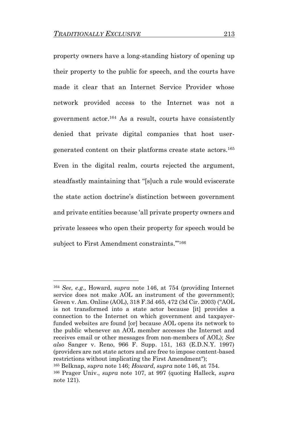property owners have a long-standing history of opening up their property to the public for speech, and the courts have made it clear that an Internet Service Provider whose network provided access to the Internet was not a government actor.<sup>164</sup> As a result, courts have consistently denied that private digital companies that host usergenerated content on their platforms create state actors.<sup>165</sup> Even in the digital realm, courts rejected the argument, steadfastly maintaining that "[s]uch a rule would eviscerate the state action doctrine's distinction between government and private entities because 'all private property owners and private lessees who open their property for speech would be subject to First Amendment constraints."<sup>166</sup>

<sup>164</sup> *See, e.g.,* Howard, *supra* note 146, at 754 (providing Internet service does not make AOL an instrument of the government); Green v. Am. Online (AOL), 318 F.3d 465, 472 (3d Cir. 2003) ("AOL is not transformed into a state actor because [it] provides a connection to the Internet on which government and taxpayerfunded websites are found [or] because AOL opens its network to the public whenever an AOL member accesses the Internet and receives email or other messages from non-members of AOL); *See also* Sanger v. Reno, 966 F. Supp. 151, 163 (E.D.N.Y. 1997) (providers are not state actors and are free to impose content-based restrictions without implicating the First Amendment"); <sup>165</sup> Belknap, *supra* note 146; *Howard*, *supra* note 146, at 754.

<sup>166</sup> Prager Univ., *supra* note 107, at 997 (quoting Halleck, *supra* note 121).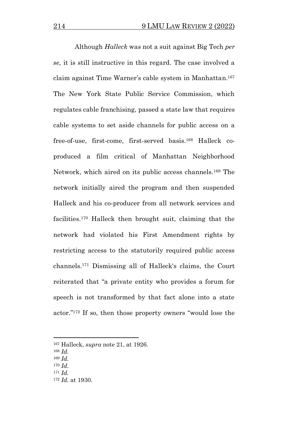Although *Halleck* was not a suit against Big Tech *per se,* it is still instructive in this regard. The case involved a claim against Time Warner's cable system in Manhattan.<sup>167</sup> The New York State Public Service Commission, which regulates cable franchising, passed a state law that requires cable systems to set aside channels for public access on a free-of-use, first-come, first-served basis.<sup>168</sup> Halleck coproduced a film critical of Manhattan Neighborhood Network, which aired on its public access channels.<sup>169</sup> The network initially aired the program and then suspended Halleck and his co-producer from all network services and facilities.<sup>170</sup> Halleck then brought suit, claiming that the network had violated his First Amendment rights by restricting access to the statutorily required public access channels.<sup>171</sup> Dismissing all of Halleck's claims, the Court reiterated that "a private entity who provides a forum for speech is not transformed by that fact alone into a state actor." <sup>172</sup> If so, then those property owners "would lose the

- <sup>169</sup> *Id.*
- <sup>170</sup> *Id*.
- <sup>171</sup> *Id.*

<sup>167</sup> Halleck, *supra* note 21, at 1926.

<sup>168</sup> *Id.*

<sup>172</sup> *Id.* at 1930.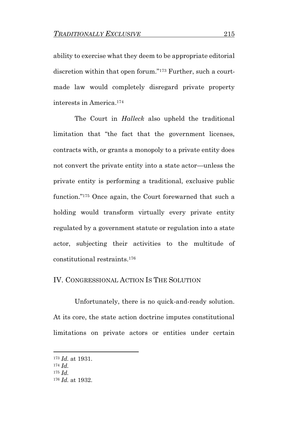ability to exercise what they deem to be appropriate editorial discretion within that open forum."<sup>173</sup> Further, such a courtmade law would completely disregard private property interests in America.<sup>174</sup>

The Court in *Halleck* also upheld the traditional limitation that "the fact that the government licenses, contracts with, or grants a monopoly to a private entity does not convert the private entity into a state actor—unless the private entity is performing a traditional, exclusive public function."<sup>175</sup> Once again, the Court forewarned that such a holding would transform virtually every private entity regulated by a government statute or regulation into a state actor, subjecting their activities to the multitude of constitutional restraints.<sup>176</sup>

### IV. CONGRESSIONAL ACTION IS THE SOLUTION

Unfortunately, there is no quick-and-ready solution. At its core, the state action doctrine imputes constitutional limitations on private actors or entities under certain

<sup>173</sup> *Id.* at 1931.

<sup>174</sup> *Id.*

<sup>175</sup> *Id.*

<sup>176</sup> *Id.* at 1932.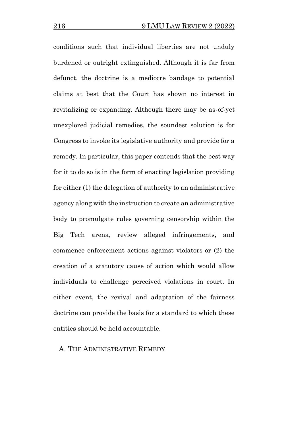conditions such that individual liberties are not unduly burdened or outright extinguished. Although it is far from defunct, the doctrine is a mediocre bandage to potential claims at best that the Court has shown no interest in revitalizing or expanding. Although there may be as-of-yet unexplored judicial remedies, the soundest solution is for Congress to invoke its legislative authority and provide for a remedy. In particular, this paper contends that the best way for it to do so is in the form of enacting legislation providing for either (1) the delegation of authority to an administrative agency along with the instruction to create an administrative body to promulgate rules governing censorship within the Big Tech arena, review alleged infringements, and commence enforcement actions against violators or (2) the creation of a statutory cause of action which would allow individuals to challenge perceived violations in court. In either event, the revival and adaptation of the fairness doctrine can provide the basis for a standard to which these entities should be held accountable.

### A. THE ADMINISTRATIVE REMEDY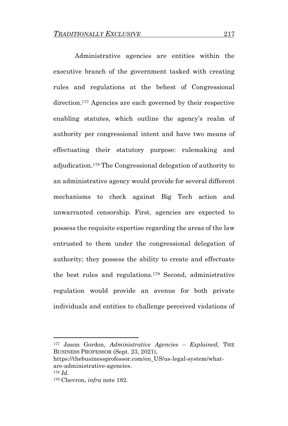Administrative agencies are entities within the executive branch of the government tasked with creating rules and regulations at the behest of Congressional direction.<sup>177</sup> Agencies are each governed by their respective enabling statutes, which outline the agency's realm of authority per congressional intent and have two means of effectuating their statutory purpose: rulemaking and adjudication.<sup>178</sup> The Congressional delegation of authority to an administrative agency would provide for several different mechanisms to check against Big Tech action and unwarranted censorship. First, agencies are expected to possess the requisite expertise regarding the areas of the law entrusted to them under the congressional delegation of authority; they possess the ability to create and effectuate the best rules and regulations.<sup>179</sup> Second, administrative regulation would provide an avenue for both private individuals and entities to challenge perceived violations of

<sup>177</sup> Jason Gordon, *Administrative Agencies – Explained*, THE BUSINESS PROFESSOR (Sept. 23, 2021),

https://thebusinessprofessor.com/en\_US/us-legal-system/whatare-administrative-agencies. <sup>178</sup> *Id.*

<sup>179</sup> Chevron, *infra* note 182*.*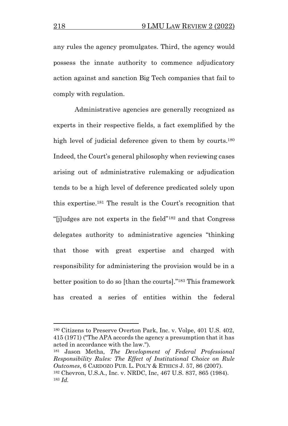any rules the agency promulgates. Third, the agency would possess the innate authority to commence adjudicatory action against and sanction Big Tech companies that fail to comply with regulation.

Administrative agencies are generally recognized as experts in their respective fields, a fact exemplified by the high level of judicial deference given to them by courts.<sup>180</sup> Indeed, the Court's general philosophy when reviewing cases arising out of administrative rulemaking or adjudication tends to be a high level of deference predicated solely upon this expertise.<sup>181</sup> The result is the Court's recognition that "[j]udges are not experts in the field"<sup>182</sup> and that Congress delegates authority to administrative agencies "thinking that those with great expertise and charged with responsibility for administering the provision would be in a better position to do so [than the courts]."<sup>183</sup> This framework has created a series of entities within the federal

<sup>181</sup> Jason Metha, *The Development of Federal Professional Responsibility Rules: The Effect of Institutional Choice on Rule Outcomes*, 6 CARDOZO PUB. L. POL'Y & ETHICS J. 57, 86 (2007). <sup>182</sup> Chevron, U.S.A., Inc. v. NRDC, Inc, 467 U.S. 837, 865 (1984). <sup>183</sup> *Id.*

<sup>180</sup> Citizens to Preserve Overton Park, Inc. v. Volpe, 401 U.S. 402, 415 (1971) ("The APA accords the agency a presumption that it has acted in accordance with the law.").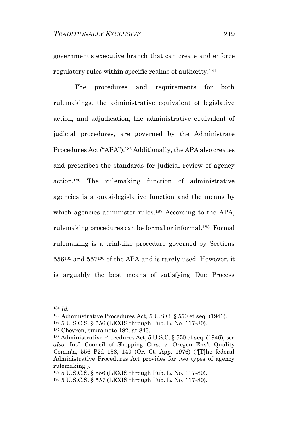government's executive branch that can create and enforce regulatory rules within specific realms of authority.<sup>184</sup>

The procedures and requirements for both rulemakings, the administrative equivalent of legislative action, and adjudication, the administrative equivalent of judicial procedures, are governed by the Administrate Procedures Act ("APA").<sup>185</sup> Additionally, the APA also creates and prescribes the standards for judicial review of agency action.<sup>186</sup> The rulemaking function of administrative agencies is a quasi-legislative function and the means by which agencies administer rules.<sup>187</sup> According to the APA, rulemaking procedures can be formal or informal. <sup>188</sup> Formal rulemaking is a trial-like procedure governed by Sections 556<sup>189</sup> and 557<sup>190</sup> of the APA and is rarely used. However, it is arguably the best means of satisfying Due Process

<sup>184</sup> *Id.*

<sup>185</sup> Administrative Procedures Act, 5 U.S.C. § 550 et seq. (1946).

<sup>186</sup> 5 U.S.C.S. § 556 (LEXIS through Pub. L. No. 117-80).

<sup>187</sup> Chevron, supra note 182, at 843.

<sup>188</sup> Administrative Procedures Act, 5 U.S.C. § 550 et seq. (1946); *see also,* Int'l Council of Shopping Ctrs. v. Oregon Env't Quality Comm'n, 556 P2d 138, 140 (Or. Ct. App. 1976) ("[T]he federal Administrative Procedures Act provides for two types of agency rulemaking.).

<sup>189</sup> 5 U.S.C.S. § 556 (LEXIS through Pub. L. No. 117-80).

<sup>190</sup> 5 U.S.C.S. § 557 (LEXIS through Pub. L. No. 117-80).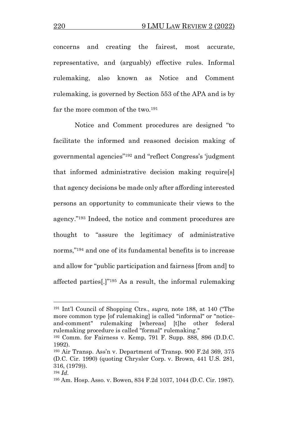concerns and creating the fairest, most accurate, representative, and (arguably) effective rules. Informal rulemaking, also known as Notice and Comment rulemaking, is governed by Section 553 of the APA and is by far the more common of the two.<sup>191</sup>

Notice and Comment procedures are designed "to facilitate the informed and reasoned decision making of governmental agencies"<sup>192</sup> and "reflect Congress's 'judgment that informed administrative decision making require[s] that agency decisions be made only after affording interested persons an opportunity to communicate their views to the agency."<sup>193</sup> Indeed, the notice and comment procedures are thought to "assure the legitimacy of administrative norms,"<sup>194</sup> and one of its fundamental benefits is to increase and allow for "public participation and fairness [from and] to affected parties[.]" <sup>195</sup> As a result, the informal rulemaking

<sup>191</sup> Int'l Council of Shopping Ctrs., *supra,* note 188, at 140 ("The more common type [of rulemaking] is called "informal" or "noticeand-comment" rulemaking [whereas] [t]he other federal rulemaking procedure is called "formal" rulemaking."

<sup>192</sup> Comm. for Fairness v. Kemp, 791 F. Supp. 888, 896 (D.D.C. 1992).

<sup>193</sup> Air Transp. Ass'n v. Department of Transp. 900 F.2d 369, 375 (D.C. Cir. 1990) (quoting Chrysler Corp. v. Brown, 441 U.S. 281, 316, (1979)).

<sup>194</sup> *Id*.

<sup>195</sup> Am. Hosp. Asso. v. Bowen, 834 F.2d 1037, 1044 (D.C. Cir. 1987).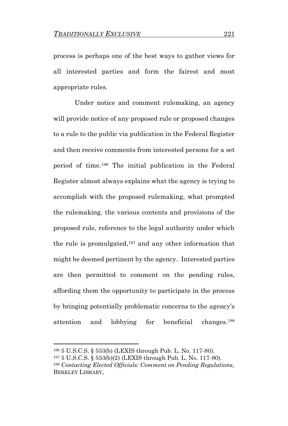process is perhaps one of the best ways to gather views for all interested parties and form the fairest and most appropriate rules.

Under notice and comment rulemaking, an agency will provide notice of any proposed rule or proposed changes to a rule to the public via publication in the Federal Register and then receive comments from interested persons for a set period of time.<sup>196</sup> The initial publication in the Federal Register almost always explains what the agency is trying to accomplish with the proposed rulemaking, what prompted the rulemaking, the various contents and provisions of the proposed rule, reference to the legal authority under which the rule is promulgated, <sup>197</sup> and any other information that might be deemed pertinent by the agency. Interested parties are then permitted to comment on the pending rules, affording them the opportunity to participate in the process by bringing potentially problematic concerns to the agency's attention and lobbying for beneficial changes.<sup>198</sup>

<sup>196</sup> 5 U.S.C.S. § 553(b) (LEXIS through Pub. L. No. 117-80).

<sup>197</sup> 5 U.S.C.S. § 553(b)(2) (LEXIS through Pub. L. No. 117-80).

<sup>198</sup> *Contacting Elected Officials: Comment on Pending Regulations,* BERKLEY LIBRARY,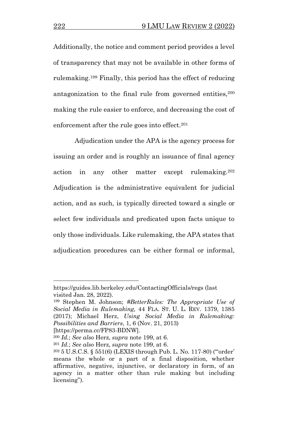Additionally, the notice and comment period provides a level of transparency that may not be available in other forms of rulemaking.<sup>199</sup> Finally, this period has the effect of reducing antagonization to the final rule from governed entities, 200 making the rule easier to enforce, and decreasing the cost of enforcement after the rule goes into effect.<sup>201</sup>

Adjudication under the APA is the agency process for issuing an order and is roughly an issuance of final agency action in any other matter except rulemaking.<sup>202</sup> Adjudication is the administrative equivalent for judicial action, and as such, is typically directed toward a single or select few individuals and predicated upon facts unique to only those individuals. Like rulemaking, the APA states that adjudication procedures can be either formal or informal,

[https://perma.cc/FP83-BDNW].

https://guides.lib.berkeley.edu/ContactingOfficials/regs (last visited Jan. 28, 2022).

<sup>199</sup> Stephen M. Johnson; *#BetterRules: The Appropriate Use of Social Media in Rulemaking,* 44 FLA. ST. U. L. REV. 1379, 1385 (2017); Michael Herz, *Using Social Media in Rulemaking: Possibilities and Barriers*, 1, 6 (Nov. 21, 2013)

<sup>200</sup> *Id.*; *See also* Herz, *supra* note 199, at 6.

<sup>201</sup> *Id.*; *See also* Herz, *supra* note 199, at 6.

<sup>202</sup> 5 U.S.C.S. § 551(6) (LEXIS through Pub. L. No. 117-80) ("'order' means the whole or a part of a final disposition, whether affirmative, negative, injunctive, or declaratory in form, of an agency in a matter other than rule making but including licensing").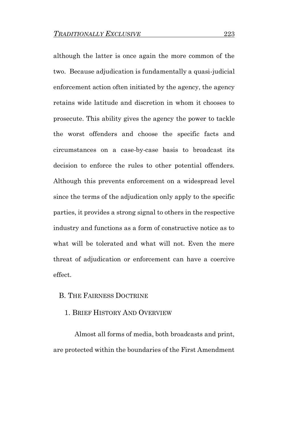although the latter is once again the more common of the two. Because adjudication is fundamentally a quasi-judicial enforcement action often initiated by the agency, the agency retains wide latitude and discretion in whom it chooses to prosecute. This ability gives the agency the power to tackle the worst offenders and choose the specific facts and circumstances on a case-by-case basis to broadcast its decision to enforce the rules to other potential offenders. Although this prevents enforcement on a widespread level since the terms of the adjudication only apply to the specific parties, it provides a strong signal to others in the respective industry and functions as a form of constructive notice as to what will be tolerated and what will not. Even the mere threat of adjudication or enforcement can have a coercive effect.

### B. THE FAIRNESS DOCTRINE

### 1. BRIEF HISTORY AND OVERVIEW

Almost all forms of media, both broadcasts and print, are protected within the boundaries of the First Amendment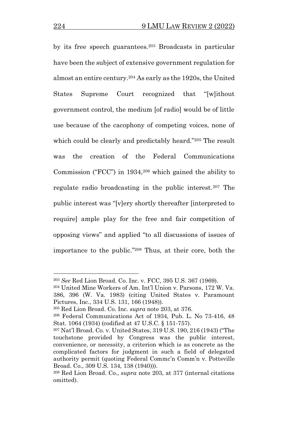by its free speech guarantees.<sup>203</sup> Broadcasts in particular have been the subject of extensive government regulation for almost an entire century.<sup>204</sup> As early as the 1920s, the United States Supreme Court recognized that "[w]ithout government control, the medium [of radio] would be of little use because of the cacophony of competing voices, none of which could be clearly and predictably heard."<sup>205</sup> The result was the creation of the Federal Communications Commission ("FCC") in 1934,<sup>206</sup> which gained the ability to regulate radio broadcasting in the public interest.<sup>207</sup> The public interest was "[v]ery shortly thereafter [interpreted to require] ample play for the free and fair competition of opposing views" and applied "to all discussions of issues of importance to the public."<sup>208</sup> Thus, at their core, both the

<sup>203</sup> *See* Red Lion Broad. Co. Inc. v. FCC, 395 U.S. 367 (1969).

<sup>204</sup> United Mine Workers of Am. Int'l Union v. Parsons, 172 W. Va. 386, 396 (W. Va. 1983) (citing United States v. Paramount Pictures, Inc., 334 U.S. 131, 166 (1948)).

<sup>205</sup> Red Lion Broad. Co. Inc. *supra* note 203, at 376.

<sup>206</sup> Federal Communications Act of 1934, Pub. L. No 73-416, 48 Stat. 1064 (1934) (codified at 47 U.S.C. § 151-757).

<sup>207</sup> Nat'l Broad. Co. v. United States, 319 U.S. 190, 216 (1943) ("The touchstone provided by Congress was the public interest, convenience, or necessity, a criterion which is as concrete as the complicated factors for judgment in such a field of delegated authority permit (quoting Federal Commc'n Comm'n v. Pottsville Broad. Co., 309 U.S. 134, 138 (1940))).

<sup>208</sup> Red Lion Broad. Co., *supra* note 203, at 377 (internal citations omitted).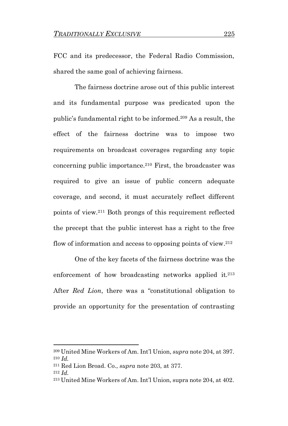FCC and its predecessor, the Federal Radio Commission, shared the same goal of achieving fairness.

The fairness doctrine arose out of this public interest and its fundamental purpose was predicated upon the public's fundamental right to be informed.<sup>209</sup> As a result, the effect of the fairness doctrine was to impose two requirements on broadcast coverages regarding any topic concerning public importance.<sup>210</sup> First, the broadcaster was required to give an issue of public concern adequate coverage, and second, it must accurately reflect different points of view.<sup>211</sup> Both prongs of this requirement reflected the precept that the public interest has a right to the free flow of information and access to opposing points of view.<sup>212</sup>

One of the key facets of the fairness doctrine was the enforcement of how broadcasting networks applied it.<sup>213</sup> After *Red Lion*, there was a "constitutional obligation to provide an opportunity for the presentation of contrasting

<sup>209</sup> United Mine Workers of Am. Int'l Union, *supra* note 204, at 397. <sup>210</sup> *Id.*

<sup>211</sup> Red Lion Broad. Co., *supra* note 203, at 377.

<sup>212</sup> *Id.*

<sup>213</sup> United Mine Workers of Am. Int'l Union, supra note 204, at 402.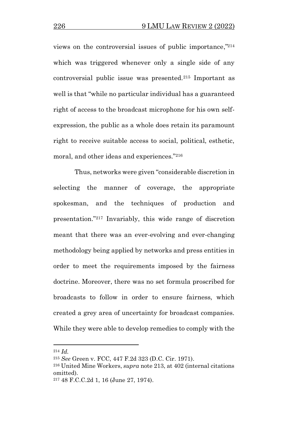views on the controversial issues of public importance," 214 which was triggered whenever only a single side of any controversial public issue was presented.<sup>215</sup> Important as well is that "while no particular individual has a guaranteed right of access to the broadcast microphone for his own selfexpression, the public as a whole does retain its paramount right to receive suitable access to social, political, esthetic, moral, and other ideas and experiences."<sup>216</sup>

Thus, networks were given "considerable discretion in selecting the manner of coverage, the appropriate spokesman, and the techniques of production and presentation."<sup>217</sup> Invariably, this wide range of discretion meant that there was an ever-evolving and ever-changing methodology being applied by networks and press entities in order to meet the requirements imposed by the fairness doctrine. Moreover, there was no set formula proscribed for broadcasts to follow in order to ensure fairness, which created a grey area of uncertainty for broadcast companies. While they were able to develop remedies to comply with the

<sup>214</sup> *Id.*

<sup>215</sup> *See* Green v. FCC, 447 F.2d 323 (D.C. Cir. 1971).

<sup>216</sup> United Mine Workers, *supra* note 213, at 402 (internal citations omitted).

<sup>217</sup> 48 F.C.C.2d 1, 16 (June 27, 1974).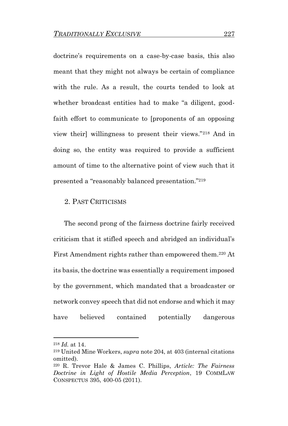doctrine's requirements on a case-by-case basis, this also meant that they might not always be certain of compliance with the rule. As a result, the courts tended to look at whether broadcast entities had to make "a diligent, goodfaith effort to communicate to [proponents of an opposing view their] willingness to present their views."<sup>218</sup> And in doing so, the entity was required to provide a sufficient amount of time to the alternative point of view such that it presented a "reasonably balanced presentation."<sup>219</sup>

### 2. PAST CRITICISMS

The second prong of the fairness doctrine fairly received criticism that it stifled speech and abridged an individual's First Amendment rights rather than empowered them.<sup>220</sup> At its basis, the doctrine was essentially a requirement imposed by the government, which mandated that a broadcaster or network convey speech that did not endorse and which it may have believed contained potentially dangerous

<sup>218</sup> *Id.* at 14.

<sup>219</sup> United Mine Workers, *supra* note 204, at 403 (internal citations omitted).

<sup>220</sup> R. Trevor Hale & James C. Phillips, *Article: The Fairness Doctrine in Light of Hostile Media Perception*, 19 COMMLAW CONSPECTUS 395, 400-05 (2011).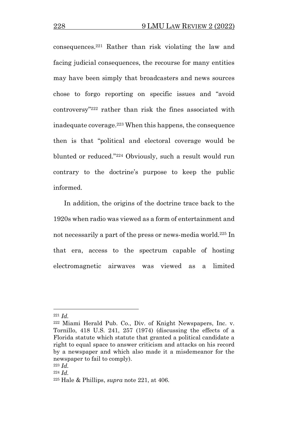consequences.<sup>221</sup> Rather than risk violating the law and facing judicial consequences, the recourse for many entities may have been simply that broadcasters and news sources chose to forgo reporting on specific issues and "avoid controversy"<sup>222</sup> rather than risk the fines associated with inadequate coverage.<sup>223</sup> When this happens, the consequence then is that "political and electoral coverage would be blunted or reduced."<sup>224</sup> Obviously, such a result would run contrary to the doctrine's purpose to keep the public informed.

In addition, the origins of the doctrine trace back to the 1920s when radio was viewed as a form of entertainment and not necessarily a part of the press or news-media world.<sup>225</sup> In that era, access to the spectrum capable of hosting electromagnetic airwaves was viewed as a limited

<sup>221</sup> *Id.*

<sup>222</sup> Miami Herald Pub. Co., Div. of Knight Newspapers, Inc. v. Tornillo, 418 U.S. 241, 257 (1974) (discussing the effects of a Florida statute which statute that granted a political candidate a right to equal space to answer criticism and attacks on his record by a newspaper and which also made it a misdemeanor for the newspaper to fail to comply).

<sup>223</sup> *Id.*

<sup>224</sup> *Id.*

<sup>225</sup> Hale & Phillips, *supra* note 221, at 406.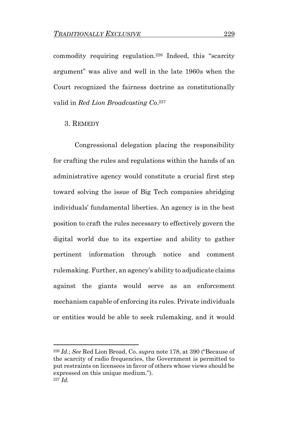commodity requiring regulation.<sup>226</sup> Indeed, this "scarcity argument" was alive and well in the late 1960s when the Court recognized the fairness doctrine as constitutionally valid in *Red Lion Broadcasting Co*. 227

#### 3. REMEDY

Congressional delegation placing the responsibility for crafting the rules and regulations within the hands of an administrative agency would constitute a crucial first step toward solving the issue of Big Tech companies abridging individuals' fundamental liberties. An agency is in the best position to craft the rules necessary to effectively govern the digital world due to its expertise and ability to gather pertinent information through notice and comment rulemaking. Further, an agency's ability to adjudicate claims against the giants would serve as an enforcement mechanism capable of enforcing its rules. Private individuals or entities would be able to seek rulemaking, and it would

<sup>226</sup> *Id.*; *See* Red Lion Broad, Co. *supra* note 178, at 390 ("Because of the scarcity of radio frequencies, the Government is permitted to put restraints on licensees in favor of others whose views should be expressed on this unique medium."). <sup>227</sup> *Id.*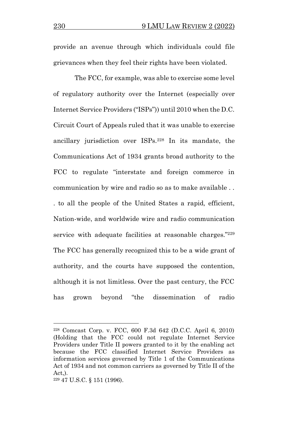provide an avenue through which individuals could file grievances when they feel their rights have been violated.

The FCC, for example, was able to exercise some level of regulatory authority over the Internet (especially over Internet Service Providers ("ISPs")) until 2010 when the D.C. Circuit Court of Appeals ruled that it was unable to exercise ancillary jurisdiction over ISPs.<sup>228</sup> In its mandate, the Communications Act of 1934 grants broad authority to the FCC to regulate "interstate and foreign commerce in communication by wire and radio so as to make available . . . to all the people of the United States a rapid, efficient, Nation-wide, and worldwide wire and radio communication service with adequate facilities at reasonable charges."<sup>229</sup> The FCC has generally recognized this to be a wide grant of authority, and the courts have supposed the contention, although it is not limitless. Over the past century, the FCC has grown beyond "the dissemination of radio

<sup>228</sup> Comcast Corp. v. FCC, 600 F.3d 642 (D.C.C. April 6, 2010) (Holding that the FCC could not regulate Internet Service Providers under Title II powers granted to it by the enabling act because the FCC classified Internet Service Providers as information services governed by Title 1 of the Communications Act of 1934 and not common carriers as governed by Title II of the  $Act.$ ).

<sup>229</sup> 47 U.S.C. § 151 (1996).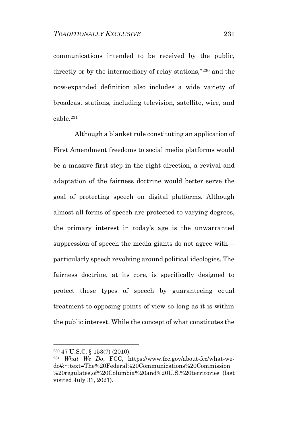communications intended to be received by the public, directly or by the intermediary of relay stations,"<sup>230</sup> and the now-expanded definition also includes a wide variety of broadcast stations, including television, satellite, wire, and cable.<sup>231</sup>

Although a blanket rule constituting an application of First Amendment freedoms to social media platforms would be a massive first step in the right direction, a revival and adaptation of the fairness doctrine would better serve the goal of protecting speech on digital platforms. Although almost all forms of speech are protected to varying degrees, the primary interest in today's age is the unwarranted suppression of speech the media giants do not agree with particularly speech revolving around political ideologies. The fairness doctrine, at its core, is specifically designed to protect these types of speech by guaranteeing equal treatment to opposing points of view so long as it is within the public interest. While the concept of what constitutes the

<sup>230</sup> 47 U.S.C. § 153(7) (2010).

<sup>231</sup> *What We Do*, FCC, https://www.fcc.gov/about-fcc/what-wedo#:~:text=The%20Federal%20Communications%20Commission %20regulates,of%20Columbia%20and%20U.S.%20territories (last visited July 31, 2021).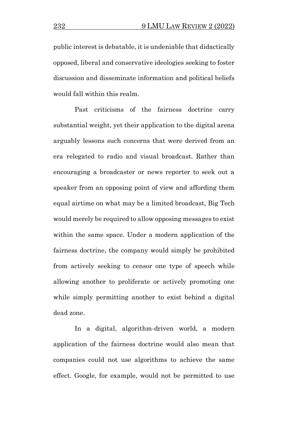public interest is debatable, it is undeniable that didactically opposed, liberal and conservative ideologies seeking to foster discussion and disseminate information and political beliefs would fall within this realm.

Past criticisms of the fairness doctrine carry substantial weight, yet their application to the digital arena arguably lessons such concerns that were derived from an era relegated to radio and visual broadcast. Rather than encouraging a broadcaster or news reporter to seek out a speaker from an opposing point of view and affording them equal airtime on what may be a limited broadcast, Big Tech would merely be required to allow opposing messages to exist within the same space. Under a modern application of the fairness doctrine, the company would simply be prohibited from actively seeking to censor one type of speech while allowing another to proliferate or actively promoting one while simply permitting another to exist behind a digital dead zone.

In a digital, algorithm-driven world, a modern application of the fairness doctrine would also mean that companies could not use algorithms to achieve the same effect. Google, for example, would not be permitted to use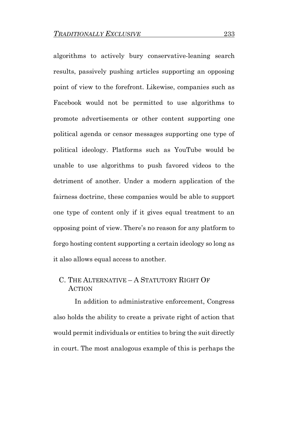algorithms to actively bury conservative-leaning search results, passively pushing articles supporting an opposing point of view to the forefront. Likewise, companies such as Facebook would not be permitted to use algorithms to promote advertisements or other content supporting one political agenda or censor messages supporting one type of political ideology. Platforms such as YouTube would be unable to use algorithms to push favored videos to the detriment of another. Under a modern application of the fairness doctrine, these companies would be able to support one type of content only if it gives equal treatment to an opposing point of view. There's no reason for any platform to forgo hosting content supporting a certain ideology so long as it also allows equal access to another.

# C. THE ALTERNATIVE – A STATUTORY RIGHT OF **ACTION**

In addition to administrative enforcement, Congress also holds the ability to create a private right of action that would permit individuals or entities to bring the suit directly in court. The most analogous example of this is perhaps the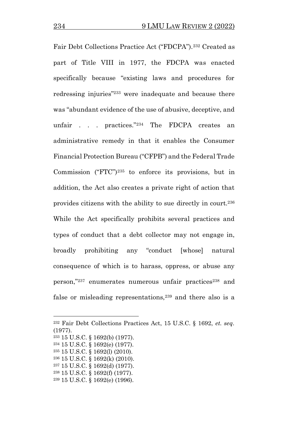Fair Debt Collections Practice Act ("FDCPA").<sup>232</sup> Created as part of Title VIII in 1977, the FDCPA was enacted specifically because "existing laws and procedures for redressing injuries"<sup>233</sup> were inadequate and because there was "abundant evidence of the use of abusive, deceptive, and unfair . . . practices."<sup>234</sup> The FDCPA creates an administrative remedy in that it enables the Consumer Financial Protection Bureau ("CFPB") and the Federal Trade Commission ("FTC")<sup>235</sup> to enforce its provisions, but in addition, the Act also creates a private right of action that provides citizens with the ability to sue directly in court.<sup>236</sup> While the Act specifically prohibits several practices and types of conduct that a debt collector may not engage in, broadly prohibiting any "conduct [whose] natural consequence of which is to harass, oppress, or abuse any person,"237 enumerates numerous unfair practices<sup>238</sup> and false or misleading representations,<sup>239</sup> and there also is a

<sup>232</sup> Fair Debt Collections Practices Act, 15 U.S.C. § 1692, *et. seq.* (1977).

<sup>233</sup> 15 U.S.C. § 1692(b) (1977).

<sup>234</sup> 15 U.S.C. § 1692(e) (1977).

<sup>235</sup> 15 U.S.C. § 1692(l) (2010).

<sup>236</sup> 15 U.S.C. § 1692(k) (2010).

<sup>237</sup> 15 U.S.C. § 1692(d) (1977).

<sup>238</sup> 15 U.S.C. § 1692(f) (1977).

<sup>239</sup> 15 U.S.C. § 1692(e) (1996).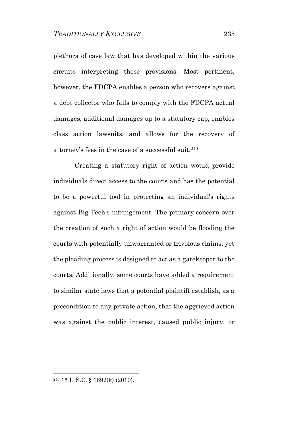plethora of case law that has developed within the various circuits interpreting these provisions. Most pertinent, however, the FDCPA enables a person who recovers against a debt collector who fails to comply with the FDCPA actual damages, additional damages up to a statutory cap, enables class action lawsuits, and allows for the recovery of attorney's fees in the case of a successful suit.<sup>240</sup>

Creating a statutory right of action would provide individuals direct access to the courts and has the potential to be a powerful tool in protecting an individual's rights against Big Tech's infringement. The primary concern over the creation of such a right of action would be flooding the courts with potentially unwarranted or frivolous claims, yet the pleading process is designed to act as a gatekeeper to the courts. Additionally, some courts have added a requirement to similar state laws that a potential plaintiff establish, as a precondition to any private action, that the aggrieved action was against the public interest, caused public injury, or

<sup>240</sup> 15 U.S.C. § 1692(k) (2010).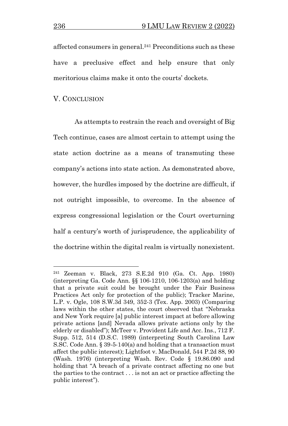affected consumers in general.<sup>241</sup> Preconditions such as these have a preclusive effect and help ensure that only meritorious claims make it onto the courts' dockets.

### V. CONCLUSION

As attempts to restrain the reach and oversight of Big Tech continue, cases are almost certain to attempt using the state action doctrine as a means of transmuting these company's actions into state action. As demonstrated above, however, the hurdles imposed by the doctrine are difficult, if not outright impossible, to overcome. In the absence of express congressional legislation or the Court overturning half a century's worth of jurisprudence, the applicability of the doctrine within the digital realm is virtually nonexistent.

<sup>241</sup> Zeeman v. Black, 273 S.E.2d 910 (Ga. Ct. App. 1980) (interpreting Ga. Code Ann. §§ 106-1210, 106-1203(a) and holding that a private suit could be brought under the Fair Business Practices Act only for protection of the public); Tracker Marine, L.P. v. Ogle, 108 S.W.3d 349, 352-3 (Tex. App. 2003) (Comparing laws within the other states, the court observed that "Nebraska and New York require [a] public interest impact at before allowing private actions [and] Nevada allows private actions only by the elderly or disabled"); McTeer v. Provident Life and Acc. Ins., 712 F. Supp. 512, 514 (D.S.C. 1989) (interpreting South Carolina Law S.SC. Code Ann. § 39-5-140(a) and holding that a transaction must affect the public interest); Lightfoot v. MacDonald, 544 P.2d 88, 90 (Wash. 1976) (interpreting Wash. Rev. Code § 19.86.090 and holding that "A breach of a private contract affecting no one but the parties to the contract . . . is not an act or practice affecting the public interest").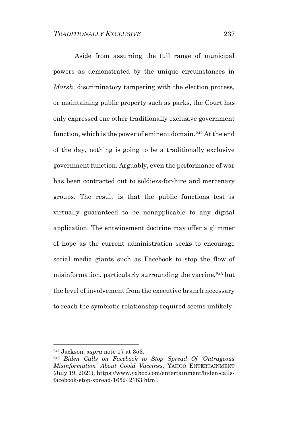Aside from assuming the full range of municipal powers as demonstrated by the unique circumstances in *Marsh*, discriminatory tampering with the election process, or maintaining public property such as parks, the Court has only expressed one other traditionally exclusive government function, which is the power of eminent domain.<sup>242</sup> At the end of the day, nothing is going to be a traditionally exclusive government function. Arguably, even the performance of war has been contracted out to soldiers-for-hire and mercenary groups. The result is that the public functions test is virtually guaranteed to be nonapplicable to any digital application. The entwinement doctrine may offer a glimmer of hope as the current administration seeks to encourage social media giants such as Facebook to stop the flow of misinformation, particularly surrounding the vaccine,  $243$  but the level of involvement from the executive branch necessary to reach the symbiotic relationship required seems unlikely.

<sup>242</sup> Jackson, *supra* note 17 at 353.

<sup>243</sup> *Biden Calls on Facebook to Stop Spread Of 'Outrageous Misinformation' About Covid Vaccines*, YAHOO ENTERTAINMENT (July 19, 2021), https://www.yahoo.com/entertainment/biden-callsfacebook-stop-spread-165242183.html.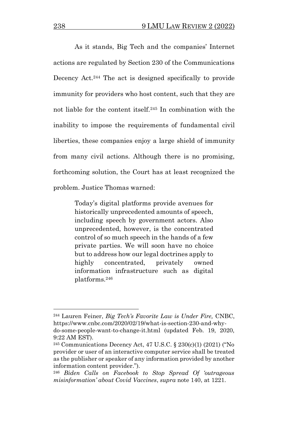As it stands, Big Tech and the companies' Internet actions are regulated by Section 230 of the Communications Decency Act.<sup>244</sup> The act is designed specifically to provide immunity for providers who host content, such that they are not liable for the content itself.<sup>245</sup> In combination with the inability to impose the requirements of fundamental civil liberties, these companies enjoy a large shield of immunity from many civil actions. Although there is no promising, forthcoming solution, the Court has at least recognized the problem. Justice Thomas warned:

> Today's digital platforms provide avenues for historically unprecedented amounts of speech, including speech by government actors. Also unprecedented, however, is the concentrated control of so much speech in the hands of a few private parties. We will soon have no choice but to address how our legal doctrines apply to highly concentrated, privately owned information infrastructure such as digital platforms.<sup>246</sup>

<sup>244</sup> Lauren Feiner, *Big Tech's Favorite Law is Under Fire,* CNBC, https://www.cnbc.com/2020/02/19/what-is-section-230-and-whydo-some-people-want-to-change-it.html (updated Feb. 19, 2020, 9:22 AM EST).

<sup>245</sup> Communications Decency Act, 47 U.S.C. § 230(c)(1) (2021) ("No provider or user of an interactive computer service shall be treated as the publisher or speaker of any information provided by another information content provider.").

<sup>246</sup> *Biden Calls on Facebook to Stop Spread Of 'outrageous misinformation' about Covid Vaccines*, *supra* note 140, at 1221.